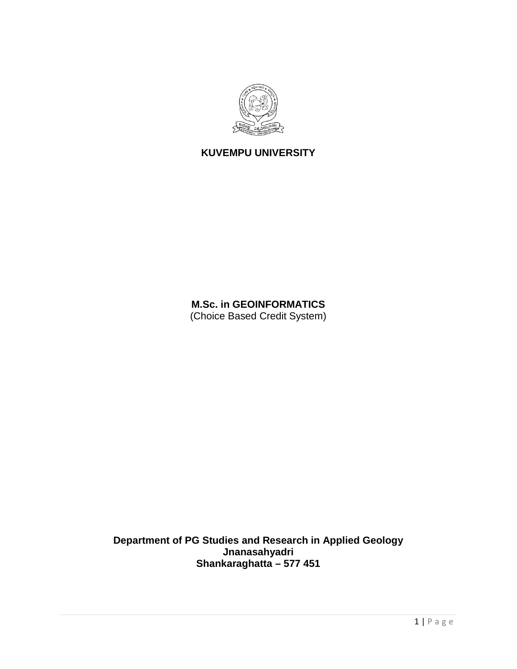

# **KUVEMPU UNIVERSITY**

**M.Sc. in GEOINFORMATICS** (Choice Based Credit System)

**Department of PG Studies and Research in Applied Geology Jnanasahyadri Shankaraghatta – 577 451**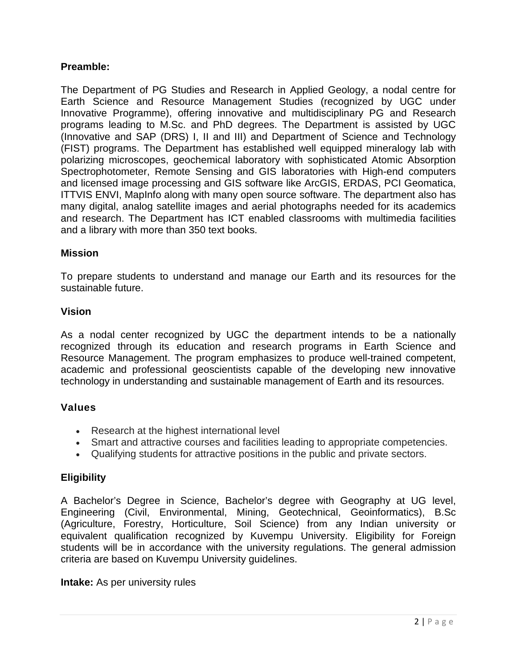# **Preamble:**

The Department of PG Studies and Research in Applied Geology, a nodal centre for Earth Science and Resource Management Studies (recognized by UGC under Innovative Programme), offering innovative and multidisciplinary PG and Research programs leading to M.Sc. and PhD degrees. The Department is assisted by UGC (Innovative and SAP (DRS) I, II and III) and Department of Science and Technology (FIST) programs. The Department has established well equipped mineralogy lab with polarizing microscopes, geochemical laboratory with sophisticated Atomic Absorption Spectrophotometer, Remote Sensing and GIS laboratories with High-end computers and licensed image processing and GIS software like ArcGIS, ERDAS, PCI Geomatica, ITTVIS ENVI, MapInfo along with many open source software. The department also has many digital, analog satellite images and aerial photographs needed for its academics and research. The Department has ICT enabled classrooms with multimedia facilities and a library with more than 350 text books.

#### **Mission**

To prepare students to understand and manage our Earth and its resources for the sustainable future.

### **Vision**

As a nodal center recognized by UGC the department intends to be a nationally recognized through its education and research programs in Earth Science and Resource Management. The program emphasizes to produce well-trained competent, academic and professional geoscientists capable of the developing new innovative technology in understanding and sustainable management of Earth and its resources.

### **Values**

- Research at the highest international level
- Smart and attractive courses and facilities leading to appropriate competencies.
- Qualifying students for attractive positions in the public and private sectors.

### **Eligibility**

A Bachelor's Degree in Science, Bachelor's degree with Geography at UG level, Engineering (Civil, Environmental, Mining, Geotechnical, Geoinformatics), B.Sc (Agriculture, Forestry, Horticulture, Soil Science) from any Indian university or equivalent qualification recognized by Kuvempu University. Eligibility for Foreign students will be in accordance with the university regulations. The general admission criteria are based on Kuvempu University guidelines.

#### **Intake:** As per university rules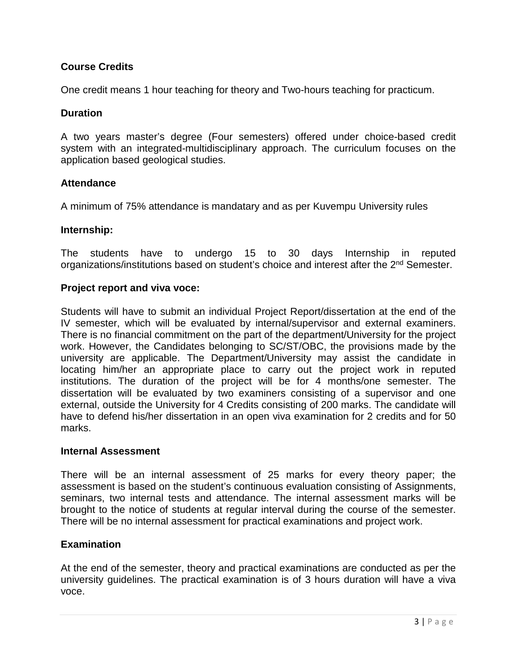# **Course Credits**

One credit means 1 hour teaching for theory and Two-hours teaching for practicum.

#### **Duration**

A two years master's degree (Four semesters) offered under choice-based credit system with an integrated-multidisciplinary approach. The curriculum focuses on the application based geological studies.

#### **Attendance**

A minimum of 75% attendance is mandatary and as per Kuvempu University rules

#### **Internship:**

The students have to undergo 15 to 30 days Internship in reputed organizations/institutions based on student's choice and interest after the 2<sup>nd</sup> Semester.

#### **Project report and viva voce:**

Students will have to submit an individual Project Report/dissertation at the end of the IV semester, which will be evaluated by internal/supervisor and external examiners. There is no financial commitment on the part of the department/University for the project work. However, the Candidates belonging to SC/ST/OBC, the provisions made by the university are applicable. The Department/University may assist the candidate in locating him/her an appropriate place to carry out the project work in reputed institutions. The duration of the project will be for 4 months/one semester. The dissertation will be evaluated by two examiners consisting of a supervisor and one external, outside the University for 4 Credits consisting of 200 marks. The candidate will have to defend his/her dissertation in an open viva examination for 2 credits and for 50 marks.

#### **Internal Assessment**

There will be an internal assessment of 25 marks for every theory paper; the assessment is based on the student's continuous evaluation consisting of Assignments, seminars, two internal tests and attendance. The internal assessment marks will be brought to the notice of students at regular interval during the course of the semester. There will be no internal assessment for practical examinations and project work.

#### **Examination**

At the end of the semester, theory and practical examinations are conducted as per the university guidelines. The practical examination is of 3 hours duration will have a viva voce.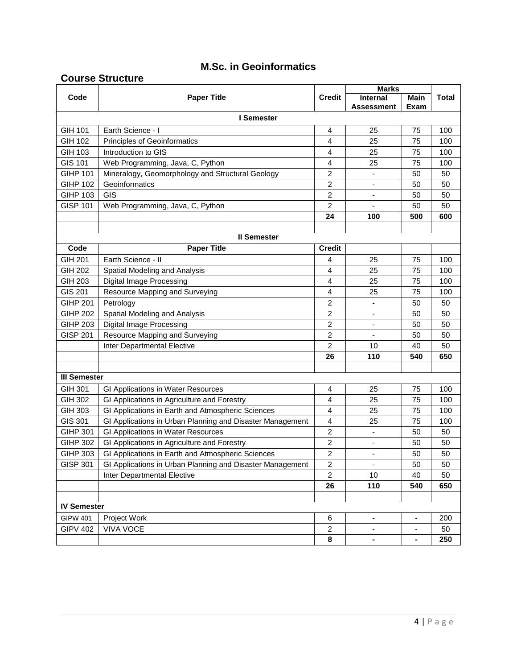# **M.Sc. in Geoinformatics**

### **Course Structure**

|                     |                                                           |                         | <b>Marks</b>                 |                              |       |  |
|---------------------|-----------------------------------------------------------|-------------------------|------------------------------|------------------------------|-------|--|
| Code                | <b>Paper Title</b>                                        | <b>Credit</b>           | Internal                     | Main                         | Total |  |
|                     |                                                           |                         | Assessment                   | Exam                         |       |  |
| I Semester          |                                                           |                         |                              |                              |       |  |
| GIH 101             | Earth Science - I                                         | 4                       | 25                           | 75                           | 100   |  |
| GIH 102             | Principles of Geoinformatics                              | 4                       | 25                           | 75                           | 100   |  |
| GIH 103             | Introduction to GIS                                       | 4                       | 25                           | 75                           | 100   |  |
| GIS 101             | Web Programming, Java, C, Python                          | 4                       | 25                           | 75                           | 100   |  |
| <b>GIHP 101</b>     | Mineralogy, Geomorphology and Structural Geology          | $\overline{\mathbf{c}}$ | -                            | 50                           | 50    |  |
| <b>GIHP 102</b>     | Geoinformatics                                            | $\overline{c}$          | $\qquad \qquad \blacksquare$ | 50                           | 50    |  |
| <b>GIHP 103</b>     | GIS                                                       | 2                       | $\qquad \qquad \blacksquare$ | 50                           | 50    |  |
| <b>GISP 101</b>     | Web Programming, Java, C, Python                          | 2                       |                              | 50                           | 50    |  |
|                     |                                                           | 24                      | 100                          | 500                          | 600   |  |
|                     |                                                           |                         |                              |                              |       |  |
|                     | <b>Il Semester</b>                                        |                         |                              |                              |       |  |
| Code                | <b>Paper Title</b>                                        | <b>Credit</b>           |                              |                              |       |  |
| <b>GIH 201</b>      | Earth Science - II                                        | 4                       | 25                           | 75                           | 100   |  |
| <b>GIH 202</b>      | Spatial Modeling and Analysis                             | 4                       | 25                           | 75                           | 100   |  |
| <b>GIH 203</b>      | Digital Image Processing                                  | 4                       | 25                           | 75                           | 100   |  |
| GIS 201             | Resource Mapping and Surveying                            | 4                       | 25                           | 75                           | 100   |  |
| <b>GIHP 201</b>     | Petrology                                                 | 2                       | $\overline{\phantom{a}}$     | 50                           | 50    |  |
| <b>GIHP 202</b>     | Spatial Modeling and Analysis                             | $\overline{c}$          |                              | 50                           | 50    |  |
| <b>GIHP 203</b>     | <b>Digital Image Processing</b>                           | 2                       | $\blacksquare$               | 50                           | 50    |  |
| <b>GISP 201</b>     | Resource Mapping and Surveying                            | $\overline{\mathbf{c}}$ |                              | 50                           | 50    |  |
|                     | Inter Departmental Elective                               | $\overline{c}$          | 10                           | 40                           | 50    |  |
|                     |                                                           | 26                      | 110                          | 540                          | 650   |  |
|                     |                                                           |                         |                              |                              |       |  |
| <b>III Semester</b> |                                                           |                         |                              |                              |       |  |
| GIH 301             | GI Applications in Water Resources                        | 4                       | 25                           | 75                           | 100   |  |
| GIH 302             | GI Applications in Agriculture and Forestry               | 4                       | 25                           | 75                           | 100   |  |
| <b>GIH 303</b>      | GI Applications in Earth and Atmospheric Sciences         | 4                       | 25                           | 75                           | 100   |  |
| GIS 301             | GI Applications in Urban Planning and Disaster Management | 4                       | 25                           | 75                           | 100   |  |
| <b>GIHP 301</b>     | GI Applications in Water Resources                        | 2                       | $\overline{\phantom{a}}$     | 50                           | 50    |  |
| <b>GIHP 302</b>     | GI Applications in Agriculture and Forestry               | 2                       | $\qquad \qquad \blacksquare$ | 50                           | 50    |  |
| <b>GIHP 303</b>     | GI Applications in Earth and Atmospheric Sciences         | $\overline{c}$          | $\overline{\phantom{a}}$     | 50                           | 50    |  |
| <b>GISP 301</b>     | GI Applications in Urban Planning and Disaster Management | $\overline{c}$          | $\overline{\phantom{a}}$     | 50                           | 50    |  |
|                     | Inter Departmental Elective                               | $\overline{c}$          | 10                           | 40                           | 50    |  |
|                     |                                                           | 26                      | 110                          | 540                          | 650   |  |
|                     |                                                           |                         |                              |                              |       |  |
| <b>IV Semester</b>  |                                                           |                         |                              |                              |       |  |
| <b>GIPW 401</b>     | Project Work                                              | 6                       | $\overline{\phantom{0}}$     |                              | 200   |  |
| <b>GIPV 402</b>     | <b>VIVA VOCE</b>                                          | 2                       | $\overline{\phantom{a}}$     | $\overline{\phantom{a}}$     | 50    |  |
|                     |                                                           | 8                       | ٠                            | $\qquad \qquad \blacksquare$ | 250   |  |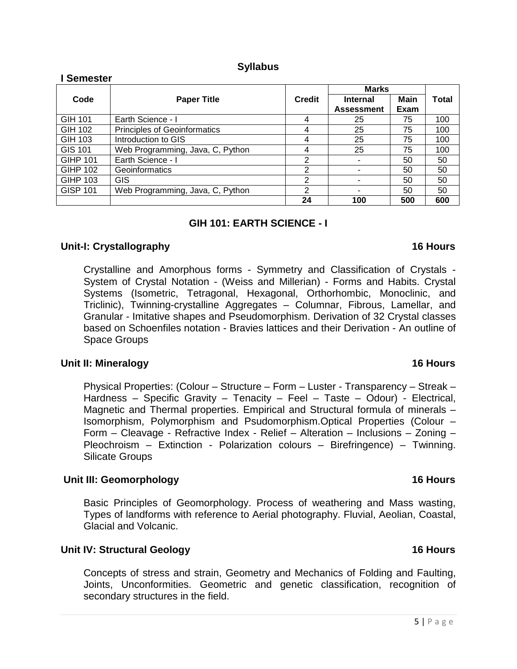### **Syllabus**

| Semester        |                                     |                |                   |             |       |  |  |
|-----------------|-------------------------------------|----------------|-------------------|-------------|-------|--|--|
|                 | <b>Paper Title</b>                  |                | Marks             |             |       |  |  |
| Code            |                                     | <b>Credit</b>  | <b>Internal</b>   | <b>Main</b> | Total |  |  |
|                 |                                     |                | <b>Assessment</b> | Exam        |       |  |  |
| GIH 101         | Earth Science - I                   | 4              | 25                | 75          | 100   |  |  |
| GIH 102         | <b>Principles of Geoinformatics</b> | 4              | 25                | 75          | 100   |  |  |
| GIH 103         | Introduction to GIS                 | 4              | 25                | 75          | 100   |  |  |
| GIS 101         | Web Programming, Java, C, Python    | 4              | 25                | 75          | 100   |  |  |
| <b>GIHP 101</b> | Earth Science - I                   | $\overline{2}$ |                   | 50          | 50    |  |  |
| <b>GIHP 102</b> | Geoinformatics                      | $\overline{2}$ |                   | 50          | 50    |  |  |
| GIHP 103        | <b>GIS</b>                          | 2              |                   | 50          | 50    |  |  |
| <b>GISP 101</b> | Web Programming, Java, C, Python    | 2              |                   | 50          | 50    |  |  |
|                 |                                     | 24             | 100               | 500         | 600   |  |  |

# **GIH 101: EARTH SCIENCE - I**

# **Unit-I: Crystallography 16 Hours**

Crystalline and Amorphous forms - Symmetry and Classification of Crystals - System of Crystal Notation - (Weiss and Millerian) - Forms and Habits. Crystal Systems (Isometric, Tetragonal, Hexagonal, Orthorhombic, Monoclinic, and Triclinic), Twinning-crystalline Aggregates – Columnar, Fibrous, Lamellar, and Granular - Imitative shapes and Pseudomorphism. Derivation of 32 Crystal classes based on Schoenfiles notation - Bravies lattices and their Derivation - An outline of Space Groups

### **Unit II: Mineralogy 16 Hours**

Physical Properties: (Colour – Structure – Form – Luster - Transparency – Streak – Hardness – Specific Gravity – Tenacity – Feel – Taste – Odour) - Electrical, Magnetic and Thermal properties. Empirical and Structural formula of minerals – Isomorphism, Polymorphism and Psudomorphism.Optical Properties (Colour – Form – Cleavage - Refractive Index - Relief – Alteration – Inclusions – Zoning – Pleochroism – Extinction - Polarization colours – Birefringence) – Twinning. Silicate Groups

### **Unit III: Geomorphology 16 Hours**

Basic Principles of Geomorphology. Process of weathering and Mass wasting, Types of landforms with reference to Aerial photography. Fluvial, Aeolian, Coastal, Glacial and Volcanic.

# **Unit IV: Structural Geology 16 Hours**

Concepts of stress and strain, Geometry and Mechanics of Folding and Faulting, Joints, Unconformities. Geometric and genetic classification, recognition of secondary structures in the field.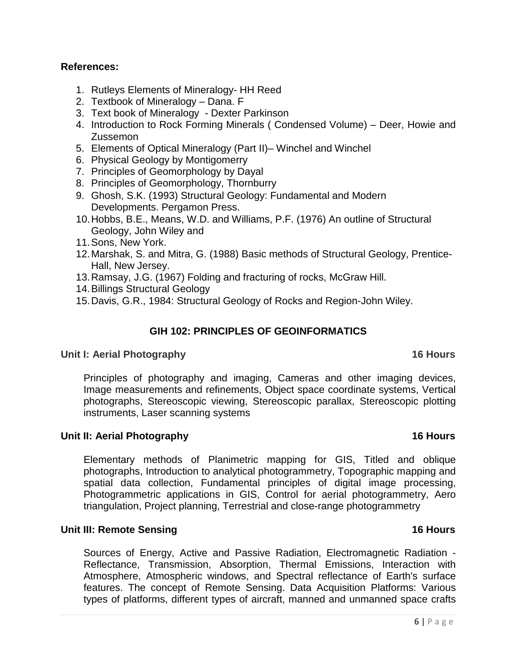### **References:**

- 1. Rutleys Elements of Mineralogy- HH Reed
- 2. Textbook of Mineralogy Dana. F
- 3. Text book of Mineralogy Dexter Parkinson
- 4. Introduction to Rock Forming Minerals ( Condensed Volume) Deer, Howie and Zussemon
- 5. Elements of Optical Mineralogy (Part II)– Winchel and Winchel
- 6. Physical Geology by Montigomerry
- 7. Principles of Geomorphology by Dayal
- 8. Principles of Geomorphology, Thornburry
- 9. Ghosh, S.K. (1993) Structural Geology: Fundamental and Modern Developments. Pergamon Press.
- 10.Hobbs, B.E., Means, W.D. and Williams, P.F. (1976) An outline of Structural Geology, John Wiley and
- 11.Sons, New York.
- 12.Marshak, S. and Mitra, G. (1988) Basic methods of Structural Geology, Prentice-Hall, New Jersey.
- 13.Ramsay, J.G. (1967) Folding and fracturing of rocks, McGraw Hill.
- 14.Billings Structural Geology
- 15.Davis, G.R., 1984: Structural Geology of Rocks and Region-John Wiley.

#### **GIH 102: PRINCIPLES OF GEOINFORMATICS**

#### **Unit I: Aerial Photography 16 Hours**

Principles of photography and imaging, Cameras and other imaging devices, Image measurements and refinements, Object space coordinate systems, Vertical photographs, Stereoscopic viewing, Stereoscopic parallax, Stereoscopic plotting instruments, Laser scanning systems

#### **Unit II: Aerial Photography 16 Hours**

Elementary methods of Planimetric mapping for GIS, Titled and oblique photographs, Introduction to analytical photogrammetry, Topographic mapping and spatial data collection, Fundamental principles of digital image processing, Photogrammetric applications in GIS, Control for aerial photogrammetry, Aero triangulation, Project planning, Terrestrial and close-range photogrammetry

#### **Unit III: Remote Sensing 16 Hours** 16 Hours

Sources of Energy, Active and Passive Radiation, Electromagnetic Radiation - Reflectance, Transmission, Absorption, Thermal Emissions, Interaction with Atmosphere, Atmospheric windows, and Spectral reflectance of Earth's surface features. The concept of Remote Sensing. Data Acquisition Platforms: Various types of platforms, different types of aircraft, manned and unmanned space crafts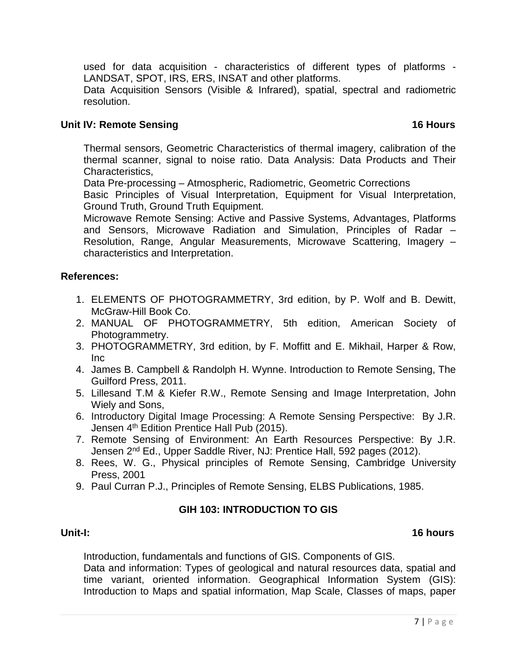used for data acquisition - characteristics of different types of platforms - LANDSAT, SPOT, IRS, ERS, INSAT and other platforms.

Data Acquisition Sensors (Visible & Infrared), spatial, spectral and radiometric resolution.

### **Unit IV: Remote Sensing 16 Hours** 16 Hours

Thermal sensors, Geometric Characteristics of thermal imagery, calibration of the thermal scanner, signal to noise ratio. Data Analysis: Data Products and Their Characteristics,

Data Pre-processing – Atmospheric, Radiometric, Geometric Corrections

Basic Principles of Visual Interpretation, Equipment for Visual Interpretation, Ground Truth, Ground Truth Equipment.

Microwave Remote Sensing: Active and Passive Systems, Advantages, Platforms and Sensors, Microwave Radiation and Simulation, Principles of Radar – Resolution, Range, Angular Measurements, Microwave Scattering, Imagery – characteristics and Interpretation.

### **References:**

- 1. ELEMENTS OF PHOTOGRAMMETRY, 3rd edition, by P. Wolf and B. Dewitt, McGraw-Hill Book Co.
- 2. MANUAL OF PHOTOGRAMMETRY, 5th edition, American Society of Photogrammetry.
- 3. PHOTOGRAMMETRY, 3rd edition, by F. Moffitt and E. Mikhail, Harper & Row, Inc
- 4. James B. Campbell & Randolph H. Wynne. Introduction to Remote Sensing, The Guilford Press, 2011.
- 5. Lillesand T.M & Kiefer R.W., Remote Sensing and Image Interpretation, John Wiely and Sons,
- 6. Introductory Digital Image Processing: A Remote Sensing Perspective: By J.R. Jensen 4<sup>th</sup> Edition Prentice Hall Pub (2015).
- 7. Remote Sensing of Environment: An Earth Resources Perspective: By J.R. Jensen 2<sup>nd</sup> Ed., Upper Saddle River, NJ: Prentice Hall, 592 pages (2012).
- 8. Rees, W. G., Physical principles of Remote Sensing, Cambridge University Press, 2001
- 9. Paul Curran P.J., Principles of Remote Sensing, ELBS Publications, 1985.

### **GIH 103: INTRODUCTION TO GIS**

# **Unit-I: 16 hours**

Introduction, fundamentals and functions of GIS. Components of GIS.

Data and information: Types of geological and natural resources data, spatial and time variant, oriented information. Geographical Information System (GIS): Introduction to Maps and spatial information, Map Scale, Classes of maps, paper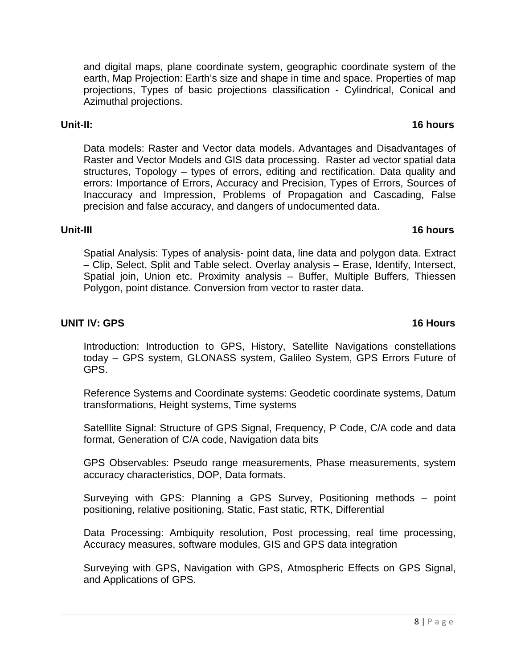and digital maps, plane coordinate system, geographic coordinate system of the earth, Map Projection: Earth's size and shape in time and space. Properties of map projections, Types of basic projections classification - Cylindrical, Conical and Azimuthal projections.

Data models: Raster and Vector data models. Advantages and Disadvantages of Raster and Vector Models and GIS data processing. Raster ad vector spatial data structures, Topology – types of errors, editing and rectification. Data quality and errors: Importance of Errors, Accuracy and Precision, Types of Errors, Sources of Inaccuracy and Impression, Problems of Propagation and Cascading, False precision and false accuracy, and dangers of undocumented data.

### **Unit-III 16 hours**

Spatial Analysis: Types of analysis- point data, line data and polygon data. Extract – Clip, Select, Split and Table select. Overlay analysis – Erase, Identify, Intersect, Spatial join, Union etc. Proximity analysis – Buffer, Multiple Buffers, Thiessen Polygon, point distance. Conversion from vector to raster data.

#### **UNIT IV: GPS** 16 Hours

Introduction: Introduction to GPS, History, Satellite Navigations constellations today – GPS system, GLONASS system, Galileo System, GPS Errors Future of GPS.

Reference Systems and Coordinate systems: Geodetic coordinate systems, Datum transformations, Height systems, Time systems

Satelllite Signal: Structure of GPS Signal, Frequency, P Code, C/A code and data format, Generation of C/A code, Navigation data bits

GPS Observables: Pseudo range measurements, Phase measurements, system accuracy characteristics, DOP, Data formats.

Surveying with GPS: Planning a GPS Survey, Positioning methods – point positioning, relative positioning, Static, Fast static, RTK, Differential

Data Processing: Ambiquity resolution, Post processing, real time processing, Accuracy measures, software modules, GIS and GPS data integration

Surveying with GPS, Navigation with GPS, Atmospheric Effects on GPS Signal, and Applications of GPS.

#### **Unit-II: 16 hours**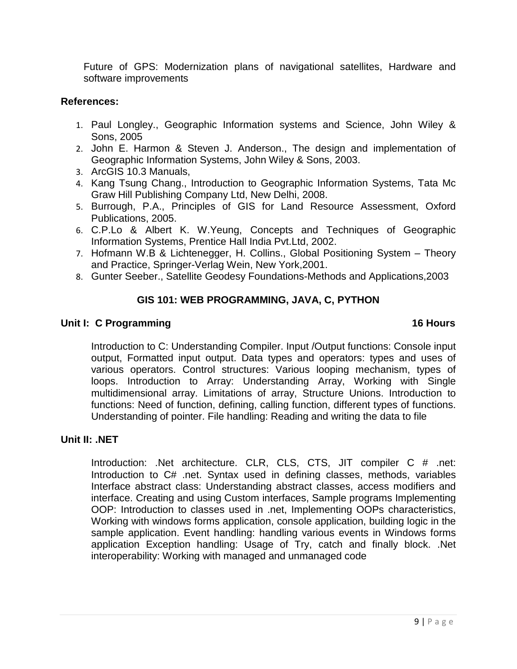Future of GPS: Modernization plans of navigational satellites, Hardware and software improvements

#### **References:**

- 1. Paul Longley., Geographic Information systems and Science, John Wiley & Sons, 2005
- 2. John E. Harmon & Steven J. Anderson., The design and implementation of Geographic Information Systems, John Wiley & Sons, 2003.
- 3. ArcGIS 10.3 Manuals,
- 4. Kang Tsung Chang., Introduction to Geographic Information Systems, Tata Mc Graw Hill Publishing Company Ltd, New Delhi, 2008.
- 5. Burrough, P.A., Principles of GIS for Land Resource Assessment, Oxford Publications, 2005.
- 6. C.P.Lo & Albert K. W.Yeung, Concepts and Techniques of Geographic Information Systems, Prentice Hall India Pvt.Ltd, 2002.
- 7. Hofmann W.B & Lichtenegger, H. Collins., Global Positioning System Theory and Practice, Springer-Verlag Wein, New York,2001.
- 8. Gunter Seeber., Satellite Geodesy Foundations-Methods and Applications,2003

# **GIS 101: WEB PROGRAMMING, JAVA, C, PYTHON**

### **Unit I: C Programming 16 Hours**

Introduction to C: Understanding Compiler. Input /Output functions: Console input output, Formatted input output. Data types and operators: types and uses of various operators. Control structures: Various looping mechanism, types of loops. Introduction to Array: Understanding Array, Working with Single multidimensional array. Limitations of array, Structure Unions. Introduction to functions: Need of function, defining, calling function, different types of functions. Understanding of pointer. File handling: Reading and writing the data to file

### **Unit II: .NET**

Introduction: .Net architecture. CLR, CLS, CTS, JIT compiler C # .net: Introduction to C# .net. Syntax used in defining classes, methods, variables Interface abstract class: Understanding abstract classes, access modifiers and interface. Creating and using Custom interfaces, Sample programs Implementing OOP: Introduction to classes used in .net, Implementing OOPs characteristics, Working with windows forms application, console application, building logic in the sample application. Event handling: handling various events in Windows forms application Exception handling: Usage of Try, catch and finally block. .Net interoperability: Working with managed and unmanaged code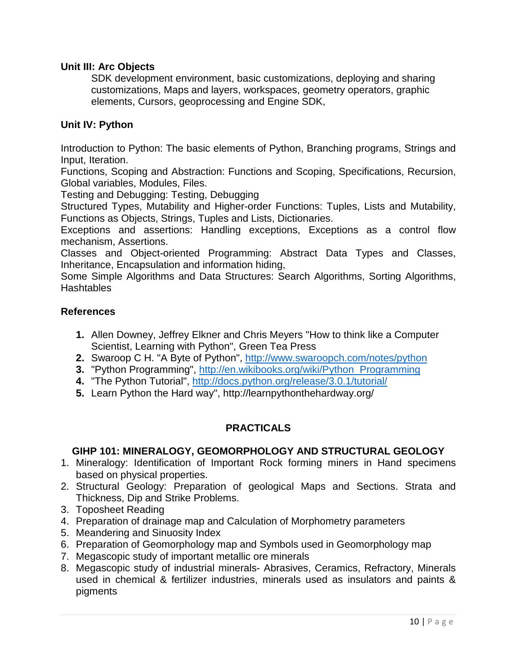# **Unit III: Arc Objects**

SDK development environment, basic customizations, deploying and sharing customizations, Maps and layers, workspaces, geometry operators, graphic elements, Cursors, geoprocessing and Engine SDK,

### **Unit IV: Python**

Introduction to Python: The basic elements of Python, Branching programs, Strings and Input, Iteration.

Functions, Scoping and Abstraction: Functions and Scoping, Specifications, Recursion, Global variables, Modules, Files.

Testing and Debugging: Testing, Debugging

Structured Types, Mutability and Higher-order Functions: Tuples, Lists and Mutability, Functions as Objects, Strings, Tuples and Lists, Dictionaries.

Exceptions and assertions: Handling exceptions, Exceptions as a control flow mechanism, Assertions.

Classes and Object-oriented Programming: Abstract Data Types and Classes, Inheritance, Encapsulation and information hiding,

Some Simple Algorithms and Data Structures: Search Algorithms, Sorting Algorithms, **Hashtables** 

#### **References**

- **1.** Allen Downey, Jeffrey Elkner and Chris Meyers "How to think like a Computer Scientist, Learning with Python", Green Tea Press
- **2.** Swaroop C H. "A Byte of Python",<http://www.swaroopch.com/notes/python>
- **3.** "Python Programming", [http://en.wikibooks.org/wiki/Python\\_Programming](http://en.wikibooks.org/wiki/Python_Programming)
- **4.** "The Python Tutorial",<http://docs.python.org/release/3.0.1/tutorial/>
- **5.** Learn Python the Hard way", http://learnpythonthehardway.org/

# **PRACTICALS**

# **GIHP 101: MINERALOGY, GEOMORPHOLOGY AND STRUCTURAL GEOLOGY**

- 1. Mineralogy: Identification of Important Rock forming miners in Hand specimens based on physical properties.
- 2. Structural Geology: Preparation of geological Maps and Sections. Strata and Thickness, Dip and Strike Problems.
- 3. Toposheet Reading
- 4. Preparation of drainage map and Calculation of Morphometry parameters
- 5. Meandering and Sinuosity Index
- 6. Preparation of Geomorphology map and Symbols used in Geomorphology map
- 7. Megascopic study of important metallic ore minerals
- 8. Megascopic study of industrial minerals- Abrasives, Ceramics, Refractory, Minerals used in chemical & fertilizer industries, minerals used as insulators and paints & pigments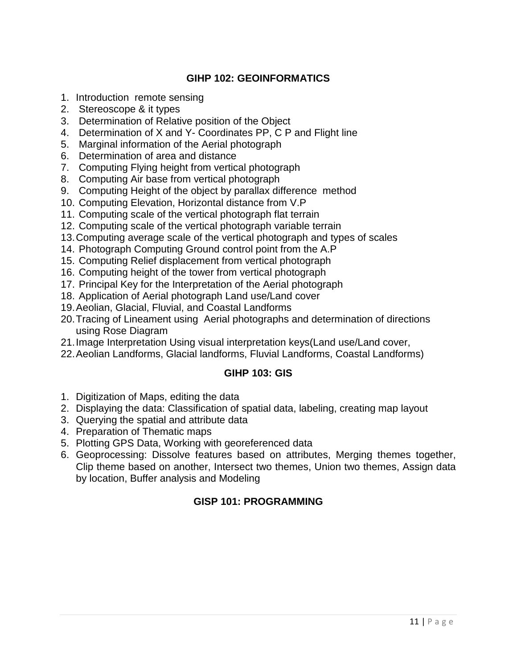# **GIHP 102: GEOINFORMATICS**

- 1. Introduction remote sensing
- 2. Stereoscope & it types
- 3. Determination of Relative position of the Object
- 4. Determination of X and Y- Coordinates PP, C P and Flight line
- 5. Marginal information of the Aerial photograph
- 6. Determination of area and distance
- 7. Computing Flying height from vertical photograph
- 8. Computing Air base from vertical photograph
- 9. Computing Height of the object by parallax difference method
- 10. Computing Elevation, Horizontal distance from V.P
- 11. Computing scale of the vertical photograph flat terrain
- 12. Computing scale of the vertical photograph variable terrain
- 13.Computing average scale of the vertical photograph and types of scales
- 14. Photograph Computing Ground control point from the A.P
- 15. Computing Relief displacement from vertical photograph
- 16. Computing height of the tower from vertical photograph
- 17. Principal Key for the Interpretation of the Aerial photograph
- 18. Application of Aerial photograph Land use/Land cover
- 19.Aeolian, Glacial, Fluvial, and Coastal Landforms
- 20.Tracing of Lineament using Aerial photographs and determination of directions using Rose Diagram
- 21.Image Interpretation Using visual interpretation keys(Land use/Land cover,
- 22.Aeolian Landforms, Glacial landforms, Fluvial Landforms, Coastal Landforms)

### **GIHP 103: GIS**

- 1. Digitization of Maps, editing the data
- 2. Displaying the data: Classification of spatial data, labeling, creating map layout
- 3. Querying the spatial and attribute data
- 4. Preparation of Thematic maps
- 5. Plotting GPS Data, Working with georeferenced data
- 6. Geoprocessing: Dissolve features based on attributes, Merging themes together, Clip theme based on another, Intersect two themes, Union two themes, Assign data by location, Buffer analysis and Modeling

# **GISP 101: PROGRAMMING**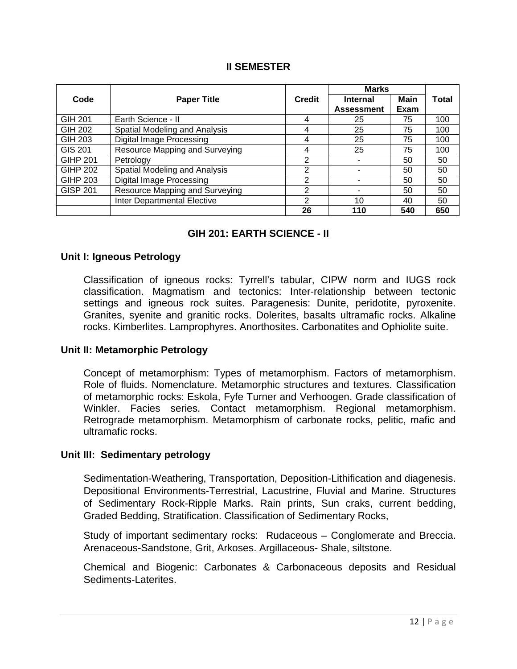### **II SEMESTER**

|                 | <b>Paper Title</b>                 |               | <b>Marks</b>      |      |              |
|-----------------|------------------------------------|---------------|-------------------|------|--------------|
| Code            |                                    | <b>Credit</b> | <b>Internal</b>   | Main | <b>Total</b> |
|                 |                                    |               | <b>Assessment</b> | Exam |              |
| GIH 201         | Earth Science - II                 | 4             | 25                | 75   | 100          |
| GIH 202         | Spatial Modeling and Analysis      | 4             | 25                | 75   | 100          |
| GIH 203         | <b>Digital Image Processing</b>    | 4             | 25                | 75   | 100          |
| GIS 201         | Resource Mapping and Surveying     | 4             | 25                | 75   | 100          |
| <b>GIHP 201</b> | Petrology                          | 2             |                   | 50   | 50           |
| <b>GIHP 202</b> | Spatial Modeling and Analysis      | 2             |                   | 50   | 50           |
| <b>GIHP 203</b> | <b>Digital Image Processing</b>    | 2             |                   | 50   | 50           |
| <b>GISP 201</b> | Resource Mapping and Surveying     | 2             | 50                |      | 50           |
|                 | <b>Inter Departmental Elective</b> | 2             | 10<br>40          |      | 50           |
|                 |                                    | 26            | 110               | 540  | 650          |

# **GIH 201: EARTH SCIENCE - II**

#### **Unit I: Igneous Petrology**

Classification of igneous rocks: Tyrrell's tabular, CIPW norm and IUGS rock classification. Magmatism and tectonics: Inter-relationship between tectonic settings and igneous rock suites. Paragenesis: Dunite, peridotite, pyroxenite. Granites, syenite and granitic rocks. Dolerites, basalts ultramafic rocks. Alkaline rocks. Kimberlites. Lamprophyres. Anorthosites. Carbonatites and Ophiolite suite.

#### **Unit II: Metamorphic Petrology**

Concept of metamorphism: Types of metamorphism. Factors of metamorphism. Role of fluids. Nomenclature. Metamorphic structures and textures. Classification of metamorphic rocks: Eskola, Fyfe Turner and Verhoogen. Grade classification of Winkler. Facies series. Contact metamorphism. Regional metamorphism. Retrograde metamorphism. Metamorphism of carbonate rocks, pelitic, mafic and ultramafic rocks.

#### **Unit III: Sedimentary petrology**

Sedimentation-Weathering, Transportation, Deposition-Lithification and diagenesis. Depositional Environments-Terrestrial, Lacustrine, Fluvial and Marine. Structures of Sedimentary Rock-Ripple Marks. Rain prints, Sun craks, current bedding, Graded Bedding, Stratification. Classification of Sedimentary Rocks,

Study of important sedimentary rocks: Rudaceous – Conglomerate and Breccia. Arenaceous-Sandstone, Grit, Arkoses. Argillaceous- Shale, siltstone.

Chemical and Biogenic: Carbonates & Carbonaceous deposits and Residual Sediments-Laterites.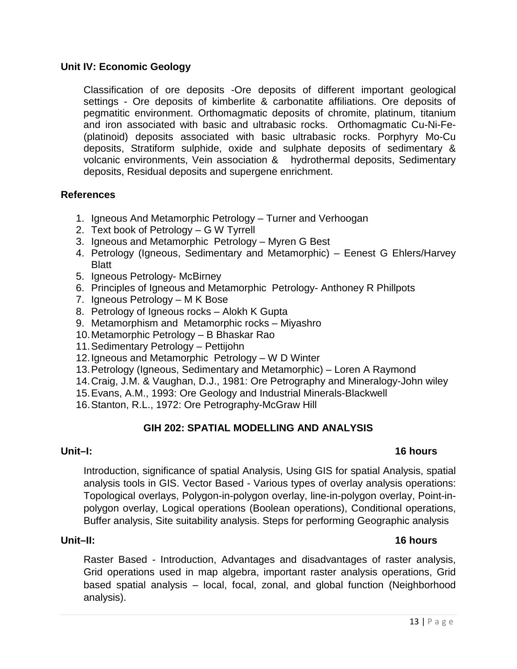### **Unit IV: Economic Geology**

Classification of ore deposits -Ore deposits of different important geological settings - Ore deposits of kimberlite & carbonatite affiliations. Ore deposits of pegmatitic environment. Orthomagmatic deposits of chromite, platinum, titanium and iron associated with basic and ultrabasic rocks. Orthomagmatic Cu-Ni-Fe- (platinoid) deposits associated with basic ultrabasic rocks. Porphyry Mo-Cu deposits, Stratiform sulphide, oxide and sulphate deposits of sedimentary & volcanic environments, Vein association & hydrothermal deposits, Sedimentary deposits, Residual deposits and supergene enrichment.

### **References**

- 1. Igneous And Metamorphic Petrology Turner and Verhoogan
- 2. Text book of Petrology G W Tyrrell
- 3. Igneous and Metamorphic Petrology Myren G Best
- 4. Petrology (Igneous, Sedimentary and Metamorphic) Eenest G Ehlers/Harvey Blatt
- 5. Igneous Petrology- McBirney
- 6. Principles of Igneous and Metamorphic Petrology- Anthoney R Phillpots
- 7. Igneous Petrology M K Bose
- 8. Petrology of Igneous rocks Alokh K Gupta
- 9. Metamorphism and Metamorphic rocks Miyashro
- 10.Metamorphic Petrology B Bhaskar Rao
- 11.Sedimentary Petrology Pettijohn
- 12.Igneous and Metamorphic Petrology W D Winter
- 13.Petrology (Igneous, Sedimentary and Metamorphic) Loren A Raymond
- 14.Craig, J.M. & Vaughan, D.J., 1981: Ore Petrography and Mineralogy-John wiley
- 15.Evans, A.M., 1993: Ore Geology and Industrial Minerals-Blackwell
- 16.Stanton, R.L., 1972: Ore Petrography-McGraw Hill

### **GIH 202: SPATIAL MODELLING AND ANALYSIS**

# **Unit–I: 16 hours**

Introduction, significance of spatial Analysis, Using GIS for spatial Analysis, spatial analysis tools in GIS. Vector Based - Various types of overlay analysis operations: Topological overlays, Polygon-in-polygon overlay, line-in-polygon overlay, Point-inpolygon overlay, Logical operations (Boolean operations), Conditional operations, Buffer analysis, Site suitability analysis. Steps for performing Geographic analysis

# **Unit–II: 16 hours**

Raster Based - Introduction, Advantages and disadvantages of raster analysis, Grid operations used in map algebra, important raster analysis operations, Grid based spatial analysis – local, focal, zonal, and global function (Neighborhood analysis).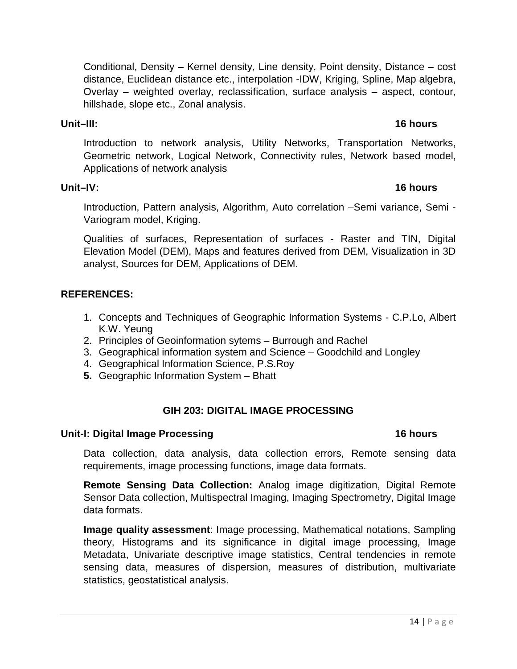Conditional, Density – Kernel density, Line density, Point density, Distance – cost distance, Euclidean distance etc., interpolation -IDW, Kriging, Spline, Map algebra, Overlay – weighted overlay, reclassification, surface analysis – aspect, contour, hillshade, slope etc., Zonal analysis.

# **Unit–III: 16 hours**

Introduction to network analysis, Utility Networks, Transportation Networks, Geometric network, Logical Network, Connectivity rules, Network based model, Applications of network analysis

# **Unit–IV: 16 hours**

Introduction, Pattern analysis, Algorithm, Auto correlation –Semi variance, Semi - Variogram model, Kriging.

Qualities of surfaces, Representation of surfaces - Raster and TIN, Digital Elevation Model (DEM), Maps and features derived from DEM, Visualization in 3D analyst, Sources for DEM, Applications of DEM.

# **REFERENCES:**

- 1. Concepts and Techniques of Geographic Information Systems C.P.Lo, Albert K.W. Yeung
- 2. Principles of Geoinformation sytems Burrough and Rachel
- 3. Geographical information system and Science Goodchild and Longley
- 4. Geographical Information Science, P.S.Roy
- **5.** Geographic Information System Bhatt

# **GIH 203: DIGITAL IMAGE PROCESSING**

### **Unit-I: Digital Image Processing 16 hours**

Data collection, data analysis, data collection errors, Remote sensing data requirements, image processing functions, image data formats.

**Remote Sensing Data Collection:** Analog image digitization, Digital Remote Sensor Data collection, Multispectral Imaging, Imaging Spectrometry, Digital Image data formats.

**Image quality assessment**: Image processing, Mathematical notations, Sampling theory, Histograms and its significance in digital image processing, Image Metadata, Univariate descriptive image statistics, Central tendencies in remote sensing data, measures of dispersion, measures of distribution, multivariate statistics, geostatistical analysis.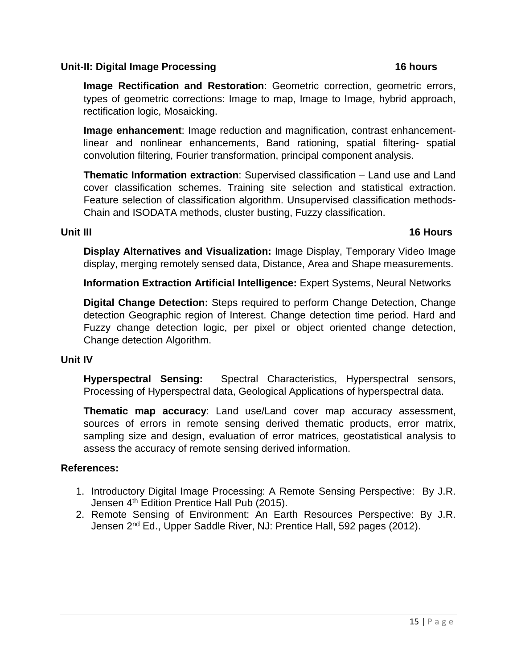### **Unit-II: Digital Image Processing 16 hours**

# **Image Rectification and Restoration**: Geometric correction, geometric errors, types of geometric corrections: Image to map, Image to Image, hybrid approach, rectification logic, Mosaicking.

**Image enhancement**: Image reduction and magnification, contrast enhancementlinear and nonlinear enhancements, Band rationing, spatial filtering- spatial convolution filtering, Fourier transformation, principal component analysis.

**Thematic Information extraction**: Supervised classification – Land use and Land cover classification schemes. Training site selection and statistical extraction. Feature selection of classification algorithm. Unsupervised classification methods-Chain and ISODATA methods, cluster busting, Fuzzy classification.

### **Unit III** 16 Hours

**Display Alternatives and Visualization:** Image Display, Temporary Video Image display, merging remotely sensed data, Distance, Area and Shape measurements.

**Information Extraction Artificial Intelligence:** Expert Systems, Neural Networks

**Digital Change Detection:** Steps required to perform Change Detection, Change detection Geographic region of Interest. Change detection time period. Hard and Fuzzy change detection logic, per pixel or object oriented change detection, Change detection Algorithm.

# **Unit IV**

**Hyperspectral Sensing:** Spectral Characteristics, Hyperspectral sensors, Processing of Hyperspectral data, Geological Applications of hyperspectral data.

**Thematic map accuracy**: Land use/Land cover map accuracy assessment, sources of errors in remote sensing derived thematic products, error matrix, sampling size and design, evaluation of error matrices, geostatistical analysis to assess the accuracy of remote sensing derived information.

# **References:**

- 1. Introductory Digital Image Processing: A Remote Sensing Perspective: By J.R. Jensen 4<sup>th</sup> Edition Prentice Hall Pub (2015).
- 2. Remote Sensing of Environment: An Earth Resources Perspective: By J.R. Jensen 2<sup>nd</sup> Ed., Upper Saddle River, NJ: Prentice Hall, 592 pages (2012).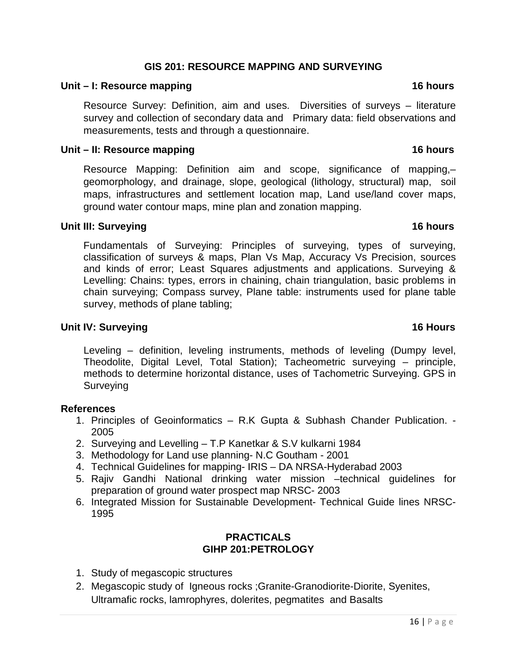# **GIS 201: RESOURCE MAPPING AND SURVEYING**

#### **Unit – I: Resource mapping 16 hours**

Resource Survey: Definition, aim and uses. Diversities of surveys – literature survey and collection of secondary data and Primary data: field observations and measurements, tests and through a questionnaire.

#### **Unit – II: Resource mapping 16 hours**

Resource Mapping: Definition aim and scope, significance of mapping,– geomorphology, and drainage, slope, geological (lithology, structural) map, soil maps, infrastructures and settlement location map, Land use/land cover maps, ground water contour maps, mine plan and zonation mapping.

### **Unit III: Surveying 16 hours**

Fundamentals of Surveying: Principles of surveying, types of surveying, classification of surveys & maps, Plan Vs Map, Accuracy Vs Precision, sources and kinds of error; Least Squares adjustments and applications. Surveying & Levelling: Chains: types, errors in chaining, chain triangulation, basic problems in chain surveying; Compass survey, Plane table: instruments used for plane table survey, methods of plane tabling;

### **Unit IV: Surveying 16 Hours**

Leveling – definition, leveling instruments, methods of leveling (Dumpy level, Theodolite, Digital Level, Total Station); Tacheometric surveying – principle, methods to determine horizontal distance, uses of Tachometric Surveying. GPS in Surveying

#### **References**

- 1. Principles of Geoinformatics R.K Gupta & Subhash Chander Publication. 2005
- 2. Surveying and Levelling T.P Kanetkar & S.V kulkarni 1984
- 3. Methodology for Land use planning- N.C Goutham 2001
- 4. Technical Guidelines for mapping- IRIS DA NRSA-Hyderabad 2003
- 5. Rajiv Gandhi National drinking water mission –technical guidelines for preparation of ground water prospect map NRSC- 2003
- 6. Integrated Mission for Sustainable Development- Technical Guide lines NRSC-1995

# **PRACTICALS GIHP 201:PETROLOGY**

- 1. Study of megascopic structures
- 2. Megascopic study of Igneous rocks ;Granite-Granodiorite-Diorite, Syenites, Ultramafic rocks, lamrophyres, dolerites, pegmatites and Basalts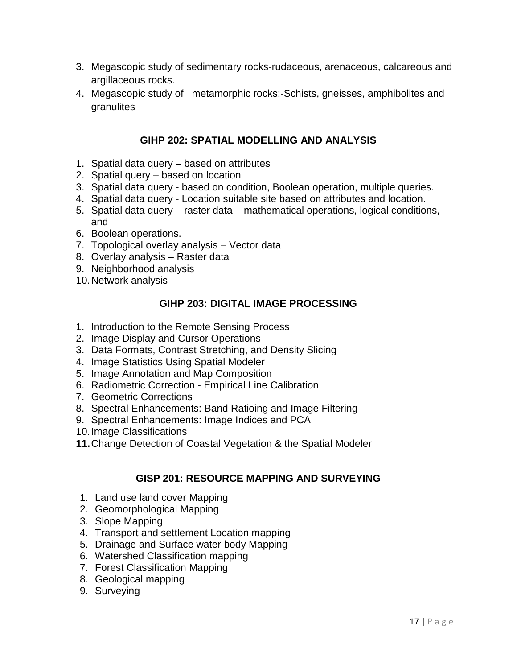- 3. Megascopic study of sedimentary rocks-rudaceous, arenaceous, calcareous and argillaceous rocks.
- 4. Megascopic study of metamorphic rocks;-Schists, gneisses, amphibolites and granulites

# **GIHP 202: SPATIAL MODELLING AND ANALYSIS**

- 1. Spatial data query based on attributes
- 2. Spatial query based on location
- 3. Spatial data query based on condition, Boolean operation, multiple queries.
- 4. Spatial data query Location suitable site based on attributes and location.
- 5. Spatial data query raster data mathematical operations, logical conditions, and
- 6. Boolean operations.
- 7. Topological overlay analysis Vector data
- 8. Overlay analysis Raster data
- 9. Neighborhood analysis
- 10.Network analysis

# **GIHP 203: DIGITAL IMAGE PROCESSING**

- 1. Introduction to the Remote Sensing Process
- 2. Image Display and Cursor Operations
- 3. Data Formats, Contrast Stretching, and Density Slicing
- 4. Image Statistics Using Spatial Modeler
- 5. Image Annotation and Map Composition
- 6. Radiometric Correction Empirical Line Calibration
- 7. Geometric Corrections
- 8. Spectral Enhancements: Band Ratioing and Image Filtering
- 9. Spectral Enhancements: Image Indices and PCA
- 10.Image Classifications
- **11.**Change Detection of Coastal Vegetation & the Spatial Modeler

# **GISP 201: RESOURCE MAPPING AND SURVEYING**

- 1. Land use land cover Mapping
- 2. Geomorphological Mapping
- 3. Slope Mapping
- 4. Transport and settlement Location mapping
- 5. Drainage and Surface water body Mapping
- 6. Watershed Classification mapping
- 7. Forest Classification Mapping
- 8. Geological mapping
- 9. Surveying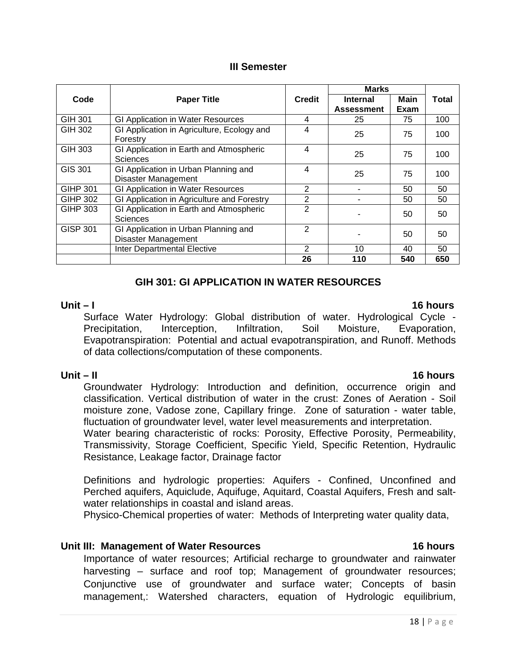#### **III Semester**

|                 | <b>Paper Title</b>                                          |                | <b>Marks</b>      |      |       |  |
|-----------------|-------------------------------------------------------------|----------------|-------------------|------|-------|--|
| Code            |                                                             | <b>Credit</b>  | <b>Internal</b>   | Main | Total |  |
|                 |                                                             |                | <b>Assessment</b> | Exam |       |  |
| GIH 301         | GI Application in Water Resources                           | 4              | 25                | 75   | 100   |  |
| GIH 302         | GI Application in Agriculture, Ecology and<br>Forestry      | 4              | 25                | 100  |       |  |
| GIH 303         | GI Application in Earth and Atmospheric<br>Sciences         | 4              | 25                | 100  |       |  |
| GIS 301         | GI Application in Urban Planning and<br>Disaster Management | 4              | 25                | 75   | 100   |  |
| GIHP 301        | GI Application in Water Resources                           | 2              |                   | 50   |       |  |
| <b>GIHP 302</b> | GI Application in Agriculture and Forestry                  | 2              | 50                |      | 50    |  |
| GIHP 303        | GI Application in Earth and Atmospheric<br>Sciences         | $\overline{2}$ |                   | 50   | 50    |  |
| <b>GISP 301</b> | GI Application in Urban Planning and<br>Disaster Management | 2              | 50                |      | 50    |  |
|                 | <b>Inter Departmental Elective</b>                          | 2              | 10<br>40          |      | 50    |  |
|                 |                                                             | 26             | 110               | 540  | 650   |  |

# **GIH 301: GI APPLICATION IN WATER RESOURCES**

**Unit – I 16 hours** Surface Water Hydrology: Global distribution of water. Hydrological Cycle - Precipitation, Interception, Infiltration, Soil Moisture, Evaporation, Evapotranspiration: Potential and actual evapotranspiration, and Runoff. Methods of data collections/computation of these components.

**Unit – II 16 hours** Groundwater Hydrology: Introduction and definition, occurrence origin and classification. Vertical distribution of water in the crust: Zones of Aeration - Soil moisture zone, Vadose zone, Capillary fringe. Zone of saturation - water table, fluctuation of groundwater level, water level measurements and interpretation.

Water bearing characteristic of rocks: Porosity, Effective Porosity, Permeability, Transmissivity, Storage Coefficient, Specific Yield, Specific Retention, Hydraulic Resistance, Leakage factor, Drainage factor

Definitions and hydrologic properties: Aquifers - Confined, Unconfined and Perched aquifers, Aquiclude, Aquifuge, Aquitard, Coastal Aquifers, Fresh and saltwater relationships in coastal and island areas.

Physico-Chemical properties of water: Methods of Interpreting water quality data,

### **Unit III: Management of Water Resources 16 hours**

Importance of water resources; Artificial recharge to groundwater and rainwater harvesting – surface and roof top; Management of groundwater resources; Conjunctive use of groundwater and surface water; Concepts of basin management,: Watershed characters, equation of Hydrologic equilibrium,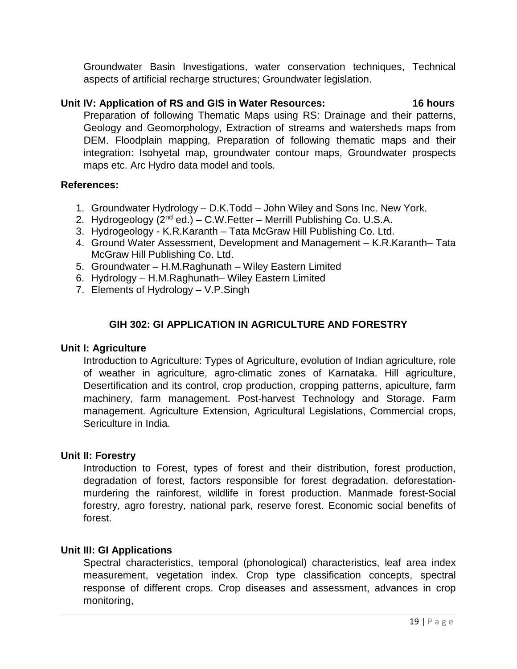Groundwater Basin Investigations, water conservation techniques, Technical aspects of artificial recharge structures; Groundwater legislation.

# **Unit IV: Application of RS and GIS in Water Resources: 16 hours**

Preparation of following Thematic Maps using RS: Drainage and their patterns, Geology and Geomorphology, Extraction of streams and watersheds maps from DEM. Floodplain mapping, Preparation of following thematic maps and their integration: Isohyetal map, groundwater contour maps, Groundwater prospects maps etc. Arc Hydro data model and tools.

# **References:**

- 1. Groundwater Hydrology D.K.Todd John Wiley and Sons Inc. New York.
- 2. Hydrogeology  $(2<sup>nd</sup> ed.) C.W.Fetter Merrill Publishing Co. U.S.A.$
- 3. Hydrogeology K.R.Karanth Tata McGraw Hill Publishing Co. Ltd.
- 4. Ground Water Assessment, Development and Management K.R.Karanth– Tata McGraw Hill Publishing Co. Ltd.
- 5. Groundwater H.M.Raghunath Wiley Eastern Limited
- 6. Hydrology H.M.Raghunath– Wiley Eastern Limited
- 7. Elements of Hydrology V.P.Singh

# **GIH 302: GI APPLICATION IN AGRICULTURE AND FORESTRY**

### **Unit I: Agriculture**

Introduction to Agriculture: Types of Agriculture, evolution of Indian agriculture, role of weather in agriculture, agro-climatic zones of Karnataka. Hill agriculture, Desertification and its control, crop production, cropping patterns, apiculture, farm machinery, farm management. Post-harvest Technology and Storage. Farm management. Agriculture Extension, Agricultural Legislations, Commercial crops, Sericulture in India.

### **Unit II: Forestry**

Introduction to Forest, types of forest and their distribution, forest production, degradation of forest, factors responsible for forest degradation, deforestationmurdering the rainforest, wildlife in forest production. Manmade forest-Social forestry, agro forestry, national park, reserve forest. Economic social benefits of forest.

### **Unit III: GI Applications**

Spectral characteristics, temporal (phonological) characteristics, leaf area index measurement, vegetation index. Crop type classification concepts, spectral response of different crops. Crop diseases and assessment, advances in crop monitoring,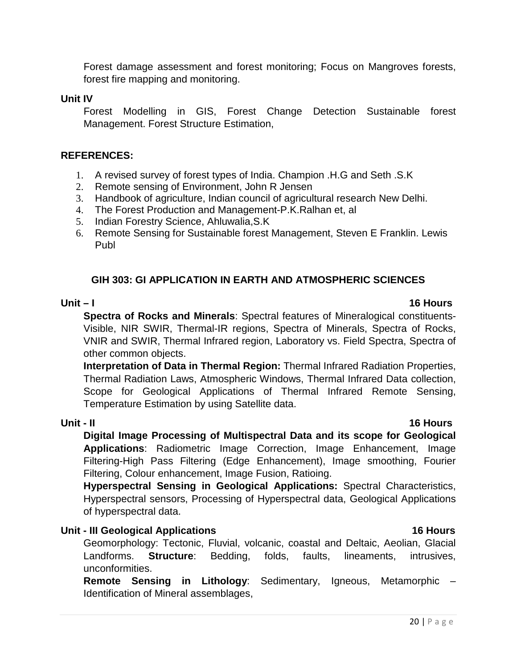Forest damage assessment and forest monitoring; Focus on Mangroves forests, forest fire mapping and monitoring.

#### **Unit IV**

Forest Modelling in GIS, Forest Change Detection Sustainable forest Management. Forest Structure Estimation,

### **REFERENCES:**

- 1. A revised survey of forest types of India. Champion .H.G and Seth .S.K
- 2. Remote sensing of Environment, John R Jensen
- 3. Handbook of agriculture, Indian council of agricultural research New Delhi.
- 4. The Forest Production and Management-P.K.Ralhan et, al
- 5. Indian Forestry Science, Ahluwalia,S.K
- 6. Remote Sensing for Sustainable forest Management, Steven E Franklin. Lewis Publ

# **GIH 303: GI APPLICATION IN EARTH AND ATMOSPHERIC SCIENCES**

**Spectra of Rocks and Minerals**: Spectral features of Mineralogical constituents-Visible, NIR SWIR, Thermal-IR regions, Spectra of Minerals, Spectra of Rocks, VNIR and SWIR, Thermal Infrared region, Laboratory vs. Field Spectra, Spectra of other common objects.

**Interpretation of Data in Thermal Region:** Thermal Infrared Radiation Properties, Thermal Radiation Laws, Atmospheric Windows, Thermal Infrared Data collection, Scope for Geological Applications of Thermal Infrared Remote Sensing, Temperature Estimation by using Satellite data.

# **Unit - II 16 Hours**

**Digital Image Processing of Multispectral Data and its scope for Geological Applications**: Radiometric Image Correction, Image Enhancement, Image Filtering-High Pass Filtering (Edge Enhancement), Image smoothing, Fourier Filtering, Colour enhancement, Image Fusion, Ratioing.

**Hyperspectral Sensing in Geological Applications:** Spectral Characteristics, Hyperspectral sensors, Processing of Hyperspectral data, Geological Applications of hyperspectral data.

### **Unit - III Geological Applications 16 Hours**

Geomorphology: Tectonic, Fluvial, volcanic, coastal and Deltaic, Aeolian, Glacial Landforms. **Structure**: Bedding, folds, faults, lineaments, intrusives, unconformities.

**Remote Sensing in Lithology**: Sedimentary, Igneous, Metamorphic – Identification of Mineral assemblages,

#### **Unit – I 16 Hours**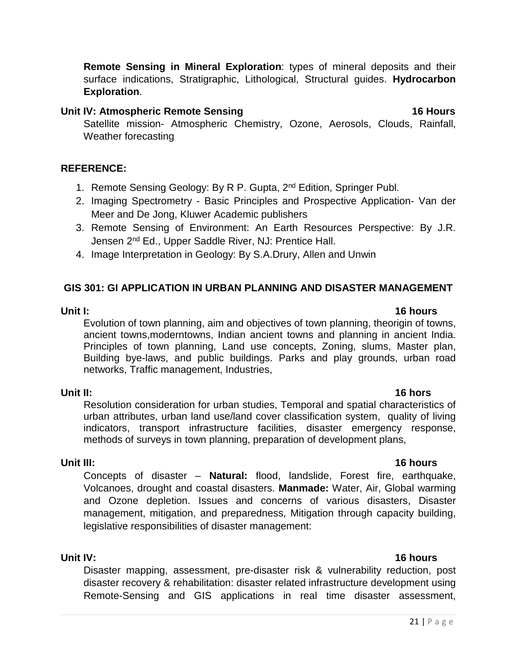**Remote Sensing in Mineral Exploration**: types of mineral deposits and their surface indications, Stratigraphic, Lithological, Structural guides. **Hydrocarbon Exploration**.

#### Unit IV: Atmospheric Remote Sensing **16 Hours**

Satellite mission- Atmospheric Chemistry, Ozone, Aerosols, Clouds, Rainfall, Weather forecasting

#### **REFERENCE:**

- 1. Remote Sensing Geology: By R P. Gupta, 2<sup>nd</sup> Edition, Springer Publ.
- 2. Imaging Spectrometry Basic Principles and Prospective Application- Van der Meer and De Jong, Kluwer Academic publishers
- 3. Remote Sensing of Environment: An Earth Resources Perspective: By J.R. Jensen 2<sup>nd</sup> Ed., Upper Saddle River, NJ: Prentice Hall.
- 4. Image Interpretation in Geology: By S.A.Drury, Allen and Unwin

### **GIS 301: GI APPLICATION IN URBAN PLANNING AND DISASTER MANAGEMENT**

**Unit I: 16 hours** Evolution of town planning, aim and objectives of town planning, theorigin of towns, ancient towns,moderntowns, Indian ancient towns and planning in ancient India. Principles of town planning, Land use concepts, Zoning, slums, Master plan, Building bye-laws, and public buildings. Parks and play grounds, urban road networks, Traffic management, Industries,

### **Unit II:** 16 hors

Resolution consideration for urban studies, Temporal and spatial characteristics of urban attributes, urban land use/land cover classification system, quality of living indicators, transport infrastructure facilities, disaster emergency response, methods of surveys in town planning, preparation of development plans,

# **Unit III: 16 hours**

Concepts of disaster – **Natural:** flood, landslide, Forest fire, earthquake, Volcanoes, drought and coastal disasters. **Manmade:** Water, Air, Global warming and Ozone depletion. Issues and concerns of various disasters, Disaster management, mitigation, and preparedness, Mitigation through capacity building, legislative responsibilities of disaster management:

**Unit IV: 16 hours**  Disaster mapping, assessment, pre-disaster risk & vulnerability reduction, post disaster recovery & rehabilitation: disaster related infrastructure development using Remote-Sensing and GIS applications in real time disaster assessment,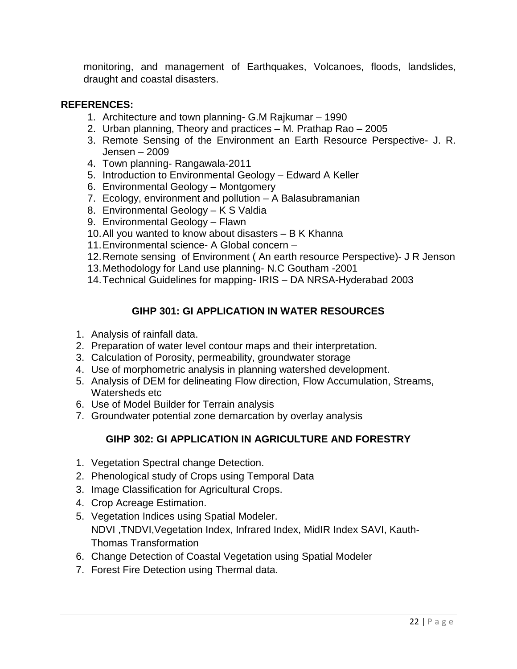monitoring, and management of Earthquakes, Volcanoes, floods, landslides, draught and coastal disasters.

# **REFERENCES:**

- 1. Architecture and town planning- G.M Rajkumar 1990
- 2. Urban planning, Theory and practices M. Prathap Rao 2005
- 3. Remote Sensing of the Environment an Earth Resource Perspective- J. R. Jensen – 2009
- 4. Town planning- Rangawala-2011
- 5. Introduction to Environmental Geology Edward A Keller
- 6. Environmental Geology Montgomery
- 7. Ecology, environment and pollution A Balasubramanian
- 8. Environmental Geology K S Valdia
- 9. Environmental Geology Flawn
- 10.All you wanted to know about disasters B K Khanna
- 11.Environmental science- A Global concern –
- 12.Remote sensing of Environment ( An earth resource Perspective)- J R Jenson
- 13.Methodology for Land use planning- N.C Goutham -2001
- 14.Technical Guidelines for mapping- IRIS DA NRSA-Hyderabad 2003

# **GIHP 301: GI APPLICATION IN WATER RESOURCES**

- 1. Analysis of rainfall data.
- 2. Preparation of water level contour maps and their interpretation.
- 3. Calculation of Porosity, permeability, groundwater storage
- 4. Use of morphometric analysis in planning watershed development.
- 5. Analysis of DEM for delineating Flow direction, Flow Accumulation, Streams, Watersheds etc.
- 6. Use of Model Builder for Terrain analysis
- 7. Groundwater potential zone demarcation by overlay analysis

# **GIHP 302: GI APPLICATION IN AGRICULTURE AND FORESTRY**

- 1. Vegetation Spectral change Detection.
- 2. Phenological study of Crops using Temporal Data
- 3. Image Classification for Agricultural Crops.
- 4. Crop Acreage Estimation.
- 5. Vegetation Indices using Spatial Modeler. NDVI ,TNDVI,Vegetation Index, Infrared Index, MidIR Index SAVI, Kauth-Thomas Transformation
- 6. Change Detection of Coastal Vegetation using Spatial Modeler
- 7. Forest Fire Detection using Thermal data.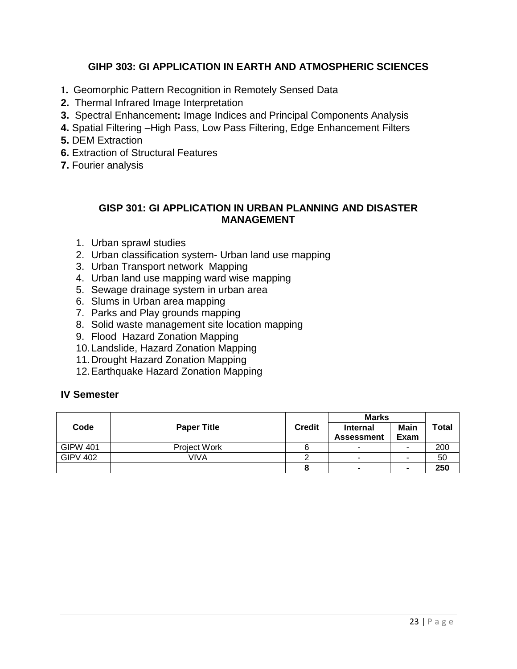# **GIHP 303: GI APPLICATION IN EARTH AND ATMOSPHERIC SCIENCES**

- **1.** Geomorphic Pattern Recognition in Remotely Sensed Data
- **2.** Thermal Infrared Image Interpretation
- **3.** Spectral Enhancement**:** Image Indices and Principal Components Analysis
- **4.** Spatial Filtering –High Pass, Low Pass Filtering, Edge Enhancement Filters
- **5.** DEM Extraction
- **6.** Extraction of Structural Features
- **7.** Fourier analysis

### **GISP 301: GI APPLICATION IN URBAN PLANNING AND DISASTER MANAGEMENT**

- 1. Urban sprawl studies
- 2. Urban classification system- Urban land use mapping
- 3. Urban Transport network Mapping
- 4. Urban land use mapping ward wise mapping
- 5. Sewage drainage system in urban area
- 6. Slums in Urban area mapping
- 7. Parks and Play grounds mapping
- 8. Solid waste management site location mapping
- 9. Flood Hazard Zonation Mapping
- 10.Landslide, Hazard Zonation Mapping
- 11.Drought Hazard Zonation Mapping
- 12.Earthquake Hazard Zonation Mapping

### **IV Semester**

|                 |                     |                                                       | <b>Marks</b> |              |              |
|-----------------|---------------------|-------------------------------------------------------|--------------|--------------|--------------|
| Code            | <b>Paper Title</b>  | <b>Credit</b><br><b>Internal</b><br><b>Assessment</b> |              | Main<br>Exam | <b>Total</b> |
| <b>GIPW 401</b> | <b>Project Work</b> |                                                       |              | -            | 200          |
| <b>GIPV 402</b> | VIVA                |                                                       | -            |              | 50           |
|                 |                     |                                                       |              |              | 250          |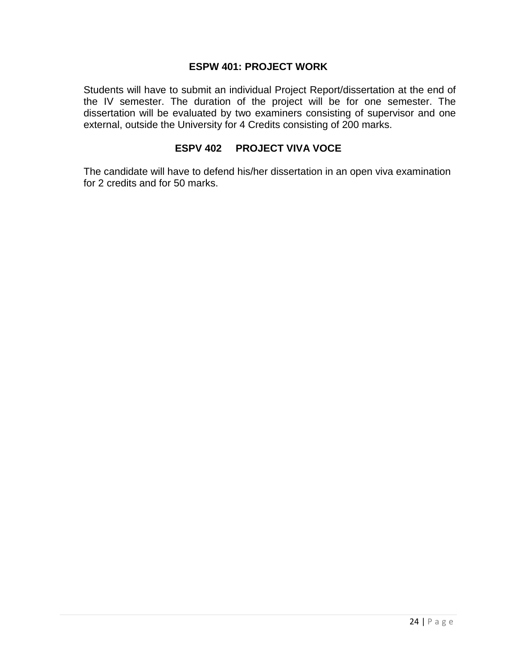#### **ESPW 401: PROJECT WORK**

Students will have to submit an individual Project Report/dissertation at the end of the IV semester. The duration of the project will be for one semester. The dissertation will be evaluated by two examiners consisting of supervisor and one external, outside the University for 4 Credits consisting of 200 marks.

#### **ESPV 402 PROJECT VIVA VOCE**

The candidate will have to defend his/her dissertation in an open viva examination for 2 credits and for 50 marks.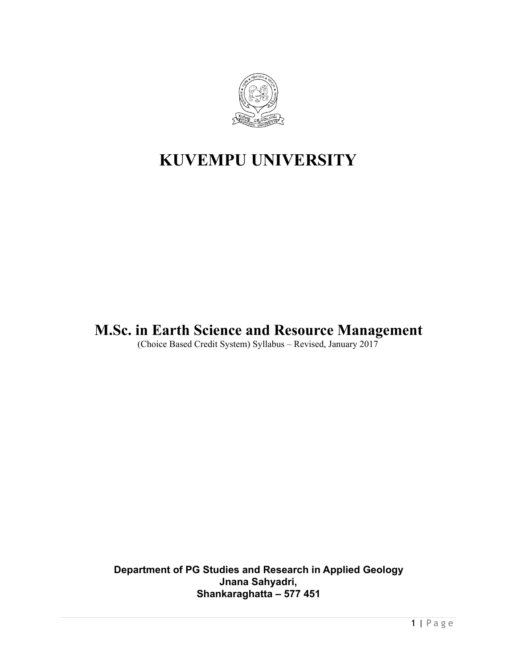

# **KUVEMPU UNIVERSITY**

# **M.Sc. in Earth Science and Resource Management**

(Choice Based Credit System) Syllabus – Revised, January 2017

**Department of PG Studies and Research in Applied Geology Jnana Sahyadri, Shankaraghatta – 577 451**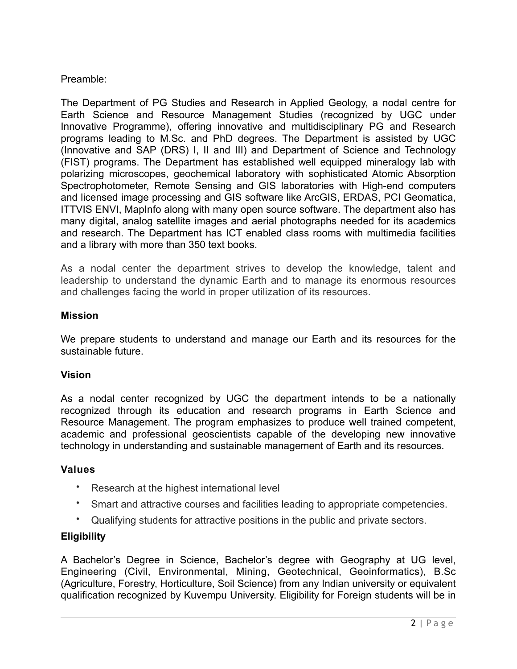# Preamble:

The Department of PG Studies and Research in Applied Geology, a nodal centre for Earth Science and Resource Management Studies (recognized by UGC under Innovative Programme), offering innovative and multidisciplinary PG and Research programs leading to M.Sc. and PhD degrees. The Department is assisted by UGC (Innovative and SAP (DRS) I, II and III) and Department of Science and Technology (FIST) programs. The Department has established well equipped mineralogy lab with polarizing microscopes, geochemical laboratory with sophisticated Atomic Absorption Spectrophotometer, Remote Sensing and GIS laboratories with High-end computers and licensed image processing and GIS software like ArcGIS, ERDAS, PCI Geomatica, ITTVIS ENVI, MapInfo along with many open source software. The department also has many digital, analog satellite images and aerial photographs needed for its academics and research. The Department has ICT enabled class rooms with multimedia facilities and a library with more than 350 text books.

As a nodal center the department strives to develop the knowledge, talent and leadership to understand the dynamic Earth and to manage its enormous resources and challenges facing the world in proper utilization of its resources.

# **Mission**

We prepare students to understand and manage our Earth and its resources for the sustainable future.

# **Vision**

As a nodal center recognized by UGC the department intends to be a nationally recognized through its education and research programs in Earth Science and Resource Management. The program emphasizes to produce well trained competent, academic and professional geoscientists capable of the developing new innovative technology in understanding and sustainable management of Earth and its resources.

# **Values**

- Research at the highest international level
- Smart and attractive courses and facilities leading to appropriate competencies.
- Qualifying students for attractive positions in the public and private sectors.

# **Eligibility**

A Bachelor's Degree in Science, Bachelor's degree with Geography at UG level, Engineering (Civil, Environmental, Mining, Geotechnical, Geoinformatics), B.Sc (Agriculture, Forestry, Horticulture, Soil Science) from any Indian university or equivalent qualification recognized by Kuvempu University. Eligibility for Foreign students will be in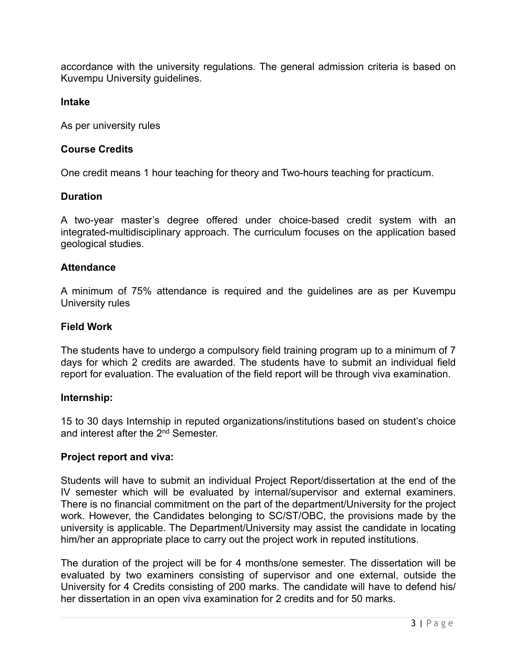accordance with the university regulations. The general admission criteria is based on Kuvempu University guidelines.

#### **Intake**

As per university rules

#### **Course Credits**

One credit means 1 hour teaching for theory and Two-hours teaching for practicum.

#### **Duration**

A two-year master's degree offered under choice-based credit system with an integrated-multidisciplinary approach. The curriculum focuses on the application based geological studies.

#### **Attendance**

A minimum of 75% attendance is required and the guidelines are as per Kuvempu University rules

#### **Field Work**

The students have to undergo a compulsory field training program up to a minimum of 7 days for which 2 credits are awarded. The students have to submit an individual field report for evaluation. The evaluation of the field report will be through viva examination.

#### **Internship:**

15 to 30 days Internship in reputed organizations/institutions based on student's choice and interest after the 2<sup>nd</sup> Semester.

#### **Project report and viva:**

Students will have to submit an individual Project Report/dissertation at the end of the IV semester which will be evaluated by internal/supervisor and external examiners. There is no financial commitment on the part of the department/University for the project work. However, the Candidates belonging to SC/ST/OBC, the provisions made by the university is applicable. The Department/University may assist the candidate in locating him/her an appropriate place to carry out the project work in reputed institutions.

The duration of the project will be for 4 months/one semester. The dissertation will be evaluated by two examiners consisting of supervisor and one external, outside the University for 4 Credits consisting of 200 marks. The candidate will have to defend his/ her dissertation in an open viva examination for 2 credits and for 50 marks.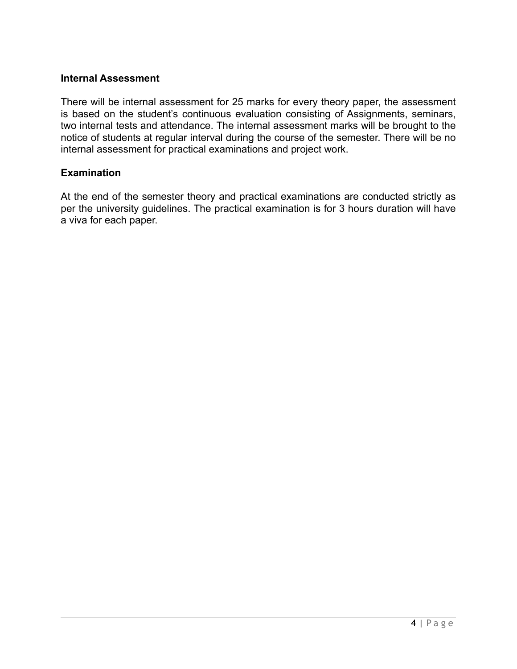#### **Internal Assessment**

There will be internal assessment for 25 marks for every theory paper, the assessment is based on the student's continuous evaluation consisting of Assignments, seminars, two internal tests and attendance. The internal assessment marks will be brought to the notice of students at regular interval during the course of the semester. There will be no internal assessment for practical examinations and project work.

#### **Examination**

At the end of the semester theory and practical examinations are conducted strictly as per the university guidelines. The practical examination is for 3 hours duration will have a viva for each paper.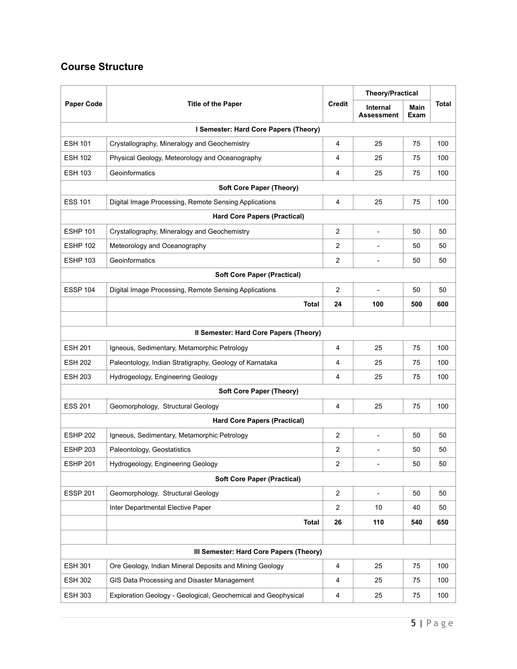# **Course Structure**

| <b>Paper Code</b><br><b>Title of the Paper</b> |                                                               |                | <b>Theory/Practical</b>              |              |              |  |  |
|------------------------------------------------|---------------------------------------------------------------|----------------|--------------------------------------|--------------|--------------|--|--|
|                                                |                                                               | <b>Credit</b>  | <b>Internal</b><br><b>Assessment</b> | Main<br>Exam | <b>Total</b> |  |  |
| I Semester: Hard Core Papers (Theory)          |                                                               |                |                                      |              |              |  |  |
| <b>ESH 101</b>                                 | Crystallography, Mineralogy and Geochemistry                  | 4              | 25                                   | 75           | 100          |  |  |
| <b>ESH 102</b>                                 | Physical Geology, Meteorology and Oceanography                | 4              | 25                                   | 75           | 100          |  |  |
| <b>ESH 103</b>                                 | Geoinformatics                                                | 4              | 25                                   | 75           | 100          |  |  |
|                                                | <b>Soft Core Paper (Theory)</b>                               |                |                                      |              |              |  |  |
| <b>ESS 101</b>                                 | Digital Image Processing, Remote Sensing Applications         | 4              | 25                                   | 75           | 100          |  |  |
|                                                | <b>Hard Core Papers (Practical)</b>                           |                |                                      |              |              |  |  |
| <b>ESHP 101</b>                                | Crystallography, Mineralogy and Geochemistry                  | $\overline{2}$ |                                      | 50           | 50           |  |  |
| <b>ESHP 102</b>                                | Meteorology and Oceanography                                  | $\overline{c}$ |                                      | 50           | 50           |  |  |
| <b>ESHP 103</b>                                | Geoinformatics                                                | 2              | $\qquad \qquad \blacksquare$         | 50           | 50           |  |  |
|                                                | <b>Soft Core Paper (Practical)</b>                            |                |                                      |              |              |  |  |
| ESSP 104                                       | Digital Image Processing, Remote Sensing Applications         | 2              | $\overline{a}$                       | 50           | 50           |  |  |
|                                                | Total                                                         | 24             | 100                                  | 500          | 600          |  |  |
|                                                |                                                               |                |                                      |              |              |  |  |
|                                                | Il Semester: Hard Core Papers (Theory)                        |                |                                      |              |              |  |  |
| <b>ESH 201</b>                                 | Igneous, Sedimentary, Metamorphic Petrology                   | 4              | 25                                   | 75           | 100          |  |  |
| <b>ESH 202</b>                                 | Paleontology, Indian Stratigraphy, Geology of Karnataka       | 4              | 25                                   | 75           | 100          |  |  |
| <b>ESH 203</b>                                 | Hydrogeology, Engineering Geology                             | 4              | 25                                   | 75           | 100          |  |  |
|                                                | <b>Soft Core Paper (Theory)</b>                               |                |                                      |              |              |  |  |
| <b>ESS 201</b>                                 | Geomorphology, Structural Geology                             | 4              | 25                                   | 75           | 100          |  |  |
|                                                | <b>Hard Core Papers (Practical)</b>                           |                |                                      |              |              |  |  |
| <b>ESHP 202</b>                                | Igneous, Sedimentary, Metamorphic Petrology                   | 2              |                                      | 50           | 50           |  |  |
| <b>ESHP 203</b>                                | Paleontology, Geostatistics                                   | 2              |                                      | 50           | 50           |  |  |
| <b>ESHP 201</b>                                | Hydrogeology, Engineering Geology                             | 2              |                                      | 50           | 50           |  |  |
|                                                | <b>Soft Core Paper (Practical)</b>                            |                |                                      |              |              |  |  |
| <b>ESSP 201</b>                                | Geomorphology, Structural Geology                             | $\overline{2}$ | $\overline{\phantom{0}}$             | 50           | 50           |  |  |
|                                                | Inter Departmental Elective Paper                             | 2              | 10                                   | 40           | 50           |  |  |
|                                                | <b>Total</b>                                                  | 26             | 110                                  | 540          | 650          |  |  |
|                                                |                                                               |                |                                      |              |              |  |  |
|                                                | III Semester: Hard Core Papers (Theory)                       |                |                                      |              |              |  |  |
| <b>ESH 301</b>                                 | Ore Geology, Indian Mineral Deposits and Mining Geology       | 4              | 25                                   | 75           | 100          |  |  |
| <b>ESH 302</b>                                 | GIS Data Processing and Disaster Management                   | 4              | 25                                   | 75           | 100          |  |  |
| <b>ESH 303</b>                                 | Exploration Geology - Geological, Geochemical and Geophysical | 4              | 25                                   | 75           | 100          |  |  |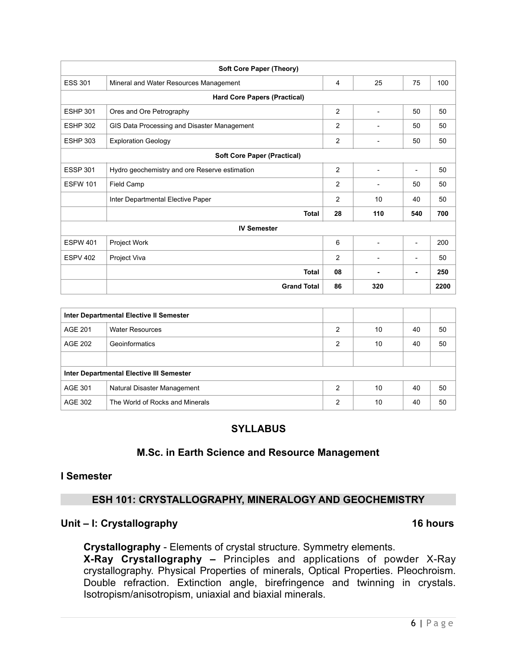|                 | <b>Soft Core Paper (Theory)</b>               |                |                |                          |      |  |
|-----------------|-----------------------------------------------|----------------|----------------|--------------------------|------|--|
| <b>ESS 301</b>  | Mineral and Water Resources Management        | 4              | 25             | 75                       | 100  |  |
|                 | <b>Hard Core Papers (Practical)</b>           |                |                |                          |      |  |
| <b>ESHP 301</b> | Ores and Ore Petrography                      | 2              | $\overline{a}$ | 50                       | 50   |  |
| <b>ESHP 302</b> | GIS Data Processing and Disaster Management   | $\overline{c}$ |                | 50                       | 50   |  |
| <b>ESHP 303</b> | <b>Exploration Geology</b>                    | $\overline{c}$ |                | 50                       | 50   |  |
|                 | <b>Soft Core Paper (Practical)</b>            |                |                |                          |      |  |
| <b>ESSP 301</b> | Hydro geochemistry and ore Reserve estimation | $\overline{c}$ |                |                          | 50   |  |
| <b>ESFW 101</b> | Field Camp                                    | $\overline{c}$ |                | 50                       | 50   |  |
|                 | Inter Departmental Elective Paper             | $\overline{2}$ | 10             | 40                       | 50   |  |
|                 | <b>Total</b>                                  | 28             | 110            | 540                      | 700  |  |
|                 | <b>IV Semester</b>                            |                |                |                          |      |  |
| <b>ESPW 401</b> | Project Work                                  | 6              |                | $\overline{\phantom{0}}$ | 200  |  |
| <b>ESPV 402</b> | Project Viva                                  | $\overline{2}$ |                |                          | 50   |  |
|                 | <b>Total</b>                                  | 08             |                | ۰                        | 250  |  |
|                 | <b>Grand Total</b>                            | 86             | 320            |                          | 2200 |  |

| Inter Departmental Elective II Semester  |                                 |   |    |    |    |  |
|------------------------------------------|---------------------------------|---|----|----|----|--|
| AGE 201                                  | <b>Water Resources</b>          | 2 | 10 | 40 | 50 |  |
| AGE 202                                  | Geoinformatics                  | 2 | 10 | 40 | 50 |  |
|                                          |                                 |   |    |    |    |  |
| Inter Departmental Elective III Semester |                                 |   |    |    |    |  |
| AGE 301                                  | Natural Disaster Management     | 2 | 10 | 40 | 50 |  |
| AGE 302                                  | The World of Rocks and Minerals | 2 | 10 | 40 | 50 |  |

### **SYLLABUS**

### **M.Sc. in Earth Science and Resource Management**

#### **I Semester**

### **ESH 101: CRYSTALLOGRAPHY, MINERALOGY AND GEOCHEMISTRY**

#### Unit – I: Crystallography **16 hours 16 hours**

**Crystallography** - Elements of crystal structure. Symmetry elements. **X-Ray Crystallography –** Principles and applications of powder X-Ray crystallography. Physical Properties of minerals, Optical Properties. Pleochroism. Double refraction. Extinction angle, birefringence and twinning in crystals. Isotropism/anisotropism, uniaxial and biaxial minerals.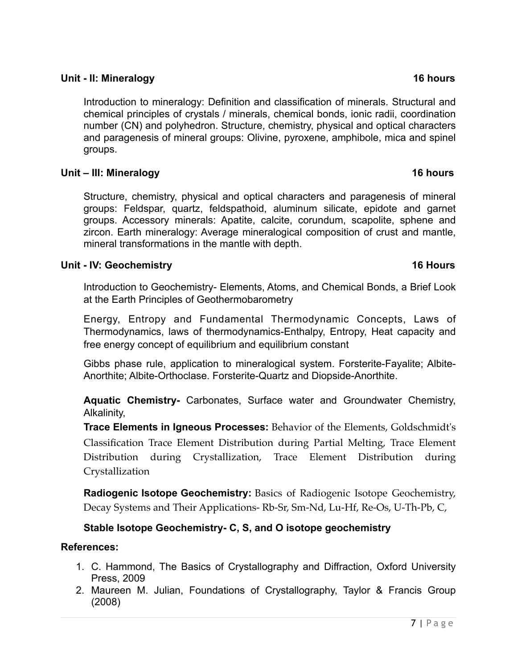# **Unit - II: Mineralogy 16 hours**

Introduction to mineralogy: Definition and classification of minerals. Structural and chemical principles of crystals / minerals, chemical bonds, ionic radii, coordination number (CN) and polyhedron. Structure, chemistry, physical and optical characters and paragenesis of mineral groups: Olivine, pyroxene, amphibole, mica and spinel groups.

# **Unit – III: Mineralogy 16 hours**

Structure, chemistry, physical and optical characters and paragenesis of mineral groups: Feldspar, quartz, feldspathoid, aluminum silicate, epidote and garnet groups. Accessory minerals: Apatite, calcite, corundum, scapolite, sphene and zircon. Earth mineralogy: Average mineralogical composition of crust and mantle, mineral transformations in the mantle with depth.

# **Unit - IV: Geochemistry 16 Hours**

Introduction to Geochemistry- Elements, Atoms, and Chemical Bonds, a Brief Look at the Earth Principles of Geothermobarometry

Energy, Entropy and Fundamental Thermodynamic Concepts, Laws of Thermodynamics, laws of thermodynamics-Enthalpy, Entropy, Heat capacity and free energy concept of equilibrium and equilibrium constant

Gibbs phase rule, application to mineralogical system. Forsterite-Fayalite; Albite-Anorthite; Albite-Orthoclase. Forsterite-Quartz and Diopside-Anorthite.

**Aquatic Chemistry-** Carbonates, Surface water and Groundwater Chemistry, Alkalinity,

**Trace Elements in Igneous Processes:** Behavior of the Elements, Goldschmidt's Classification Trace Element Distribution during Partial Melting, Trace Element Distribution during Crystallization, Trace Element Distribution during Crystallization

**Radiogenic Isotope Geochemistry:** Basics of Radiogenic Isotope Geochemistry, Decay Systems and Their Applications- Rb-Sr, Sm-Nd, Lu-Hf, Re-Os, U-Th-Pb, C,

# **Stable Isotope Geochemistry- C, S, and O isotope geochemistry**

# **References:**

- 1. C. Hammond, The Basics of Crystallography and Diffraction, Oxford University Press, 2009
- 2. Maureen M. Julian, Foundations of Crystallography, Taylor & Francis Group (2008)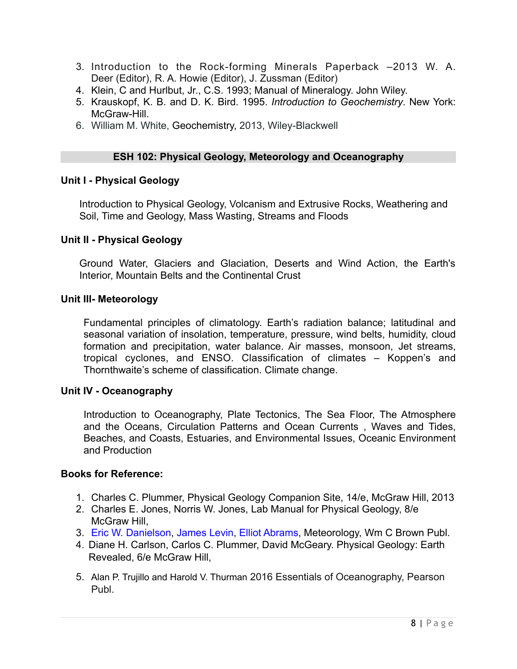- 3. Introduction to the Rock-forming Minerals Paperback –2013 W. A. Deer (Editor), R. A. Howie (Editor), J. Zussman (Editor)
- 4. Klein, C and Hurlbut, Jr., C.S. 1993; Manual of Mineralogy. John Wiley.
- 5. Krauskopf, K. B. and D. K. Bird. 1995. *Introduction to Geochemistry*. New York: McGraw-Hill
- 6. William M. White, Geochemistry, 2013, Wiley-Blackwell

### **ESH 102: Physical Geology, Meteorology and Oceanography**

#### **Unit I - Physical Geology**

Introduction to Physical Geology, Volcanism and Extrusive Rocks, Weathering and Soil, Time and Geology, Mass Wasting, Streams and Floods

#### **Unit II - Physical Geology**

Ground Water, Glaciers and Glaciation, [Deserts and Wind Action,](http://www.mhhe.com/earthsci/geology/plummer/www13.mhtml) the Earth's Interior, Mountain Belts and the Continental Crust

#### **Unit III- Meteorology**

Fundamental principles of climatology. Earth's radiation balance; latitudinal and seasonal variation of insolation, temperature, pressure, wind belts, humidity, cloud formation and precipitation, water balance. Air masses, monsoon, Jet streams, tropical cyclones, and ENSO. Classification of climates – Koppen's and Thornthwaite's scheme of classification. Climate change.

#### **Unit IV - Oceanography**

Introduction to Oceanography, Plate Tectonics, The Sea Floor, The Atmosphere and the Oceans, Circulation Patterns and Ocean Currents , Waves and Tides, Beaches, and Coasts, Estuaries, and Environmental Issues, Oceanic Environment and Production

#### **Books for Reference:**

- 1. Charles C. Plummer, Physical Geology Companion Site, 14/e, McGraw Hill, 2013
- 2. Charles E. Jones, Norris W. Jones, Lab Manual for Physical Geology, 8/e McGraw Hill.
- 3. [Eric W. Danielson,](https://www.amazon.com/s/ref=dp_byline_sr_book_1?ie=UTF8&text=Eric+W.+Danielson&search-alias=books&field-author=Eric+W.+Danielson&sort=relevancerank) [James Levin,](https://www.amazon.com/s/ref=dp_byline_sr_book_2?ie=UTF8&text=James+Levin&search-alias=books&field-author=James+Levin&sort=relevancerank) [Elliot Abrams](https://www.amazon.com/s/ref=dp_byline_sr_book_3?ie=UTF8&text=Elliot+Abrams&search-alias=books&field-author=Elliot+Abrams&sort=relevancerank), Meteorology, Wm C Brown Publ.
- 4. Diane H. Carlson, Carlos C. Plummer, David McGeary. Physical Geology: Earth Revealed, 6/e McGraw Hill,
- 5. Alan P. Trujillo and Harold V. Thurman 2016 Essentials of Oceanography, Pearson Publ.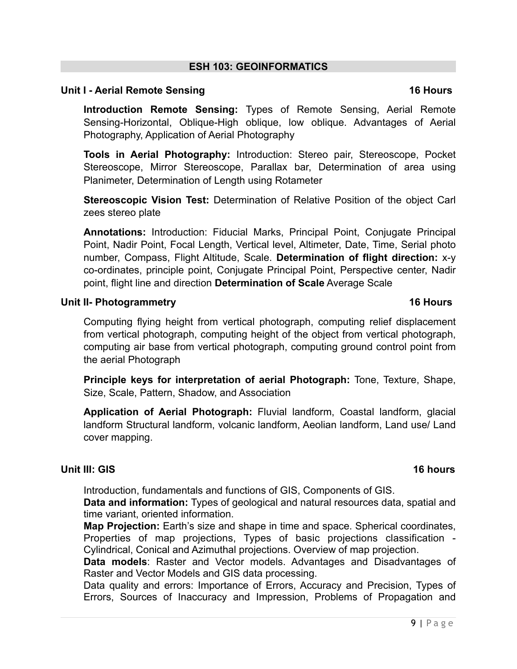Raster and Vector Models and GIS data processing. Data quality and errors: Importance of Errors, Accuracy and Precision, Types of

# **ESH 103: GEOINFORMATICS**

# **Unit I - Aerial Remote Sensing 16 Hours 16 Hours 16 Hours**

**Introduction Remote Sensing:** Types of Remote Sensing, Aerial Remote Sensing-Horizontal, Oblique-High oblique, low oblique. Advantages of Aerial Photography, Application of Aerial Photography

**Tools in Aerial Photography:** Introduction: Stereo pair, Stereoscope, Pocket Stereoscope, Mirror Stereoscope, Parallax bar, Determination of area using Planimeter, Determination of Length using Rotameter

**Stereoscopic Vision Test:** Determination of Relative Position of the object Carl zees stereo plate

**Annotations:** Introduction: Fiducial Marks, Principal Point, Conjugate Principal Point, Nadir Point, Focal Length, Vertical level, Altimeter, Date, Time, Serial photo number, Compass, Flight Altitude, Scale. **Determination of flight direction:** x-y co-ordinates, principle point, Conjugate Principal Point, Perspective center, Nadir point, flight line and direction **Determination of Scale** Average Scale

# **Unit II- Photogrammetry** 16 Hours **16 Hours**

Computing flying height from vertical photograph, computing relief displacement from vertical photograph, computing height of the object from vertical photograph, computing air base from vertical photograph, computing ground control point from the aerial Photograph

**Principle keys for interpretation of aerial Photograph:** Tone, Texture, Shape, Size, Scale, Pattern, Shadow, and Association

**Application of Aerial Photograph:** Fluvial landform, Coastal landform, glacial landform Structural landform, volcanic landform, Aeolian landform, Land use/ Land cover mapping.

# **Unit III: GIS** 16 hours

Introduction, fundamentals and functions of GIS, Components of GIS.

**Data and information:** Types of geological and natural resources data, spatial and time variant, oriented information.

**Map Projection:** Earth's size and shape in time and space. Spherical coordinates, Properties of map projections, Types of basic projections classification - Cylindrical, Conical and Azimuthal projections. Overview of map projection.

**Data models**: Raster and Vector models. Advantages and Disadvantages of

Errors, Sources of Inaccuracy and Impression, Problems of Propagation and

# 9 | Page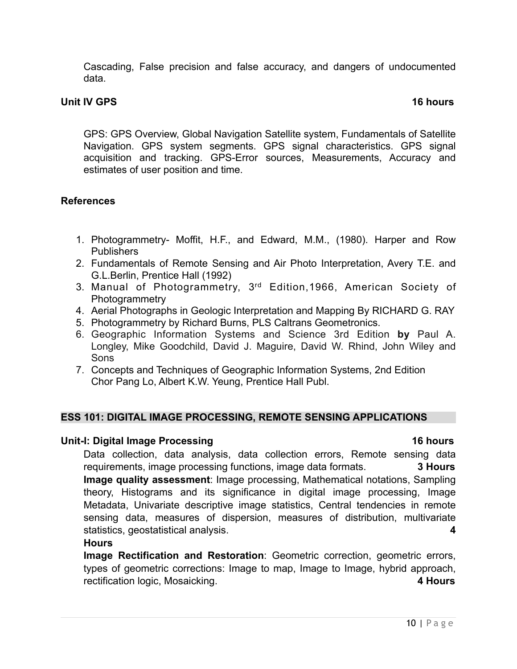Cascading, False precision and false accuracy, and dangers of undocumented data.

#### **Unit IV GPS** 16 hours **16 hours 16 hours**

GPS: GPS Overview, Global Navigation Satellite system, Fundamentals of Satellite Navigation. GPS system segments. GPS signal characteristics. GPS signal acquisition and tracking. GPS-Error sources, Measurements, Accuracy and estimates of user position and time.

#### **References**

- 1. Photogrammetry- Moffit, H.F., and Edward, M.M., (1980). Harper and Row Publishers
- 2. Fundamentals of Remote Sensing and Air Photo Interpretation, Avery T.E. and G.L.Berlin, Prentice Hall (1992)
- 3. Manual of Photogrammetry, 3rd Edition,1966, American Society of **Photogrammetry**
- 4. Aerial Photographs in Geologic Interpretation and Mapping By RICHARD G. RAY
- 5. Photogrammetry by Richard Burns, PLS Caltrans Geometronics.
- 6. Geographic Information Systems and Science 3rd Edition **by** Paul A. Longley, Mike Goodchild, David J. Maguire, David W. Rhind, John Wiley and Sons
- 7. Concepts and Techniques of Geographic Information Systems, 2nd Edition Chor Pang Lo, Albert K.W. Yeung, Prentice Hall Publ.

### **ESS 101: DIGITAL IMAGE PROCESSING, REMOTE SENSING APPLICATIONS**

### Unit-I: Digital Image Processing **16 hours** 16 hours

Data collection, data analysis, data collection errors, Remote sensing data requirements, image processing functions, image data formats. **3 Hours Image quality assessment**: Image processing, Mathematical notations, Sampling theory, Histograms and its significance in digital image processing, Image Metadata, Univariate descriptive image statistics, Central tendencies in remote sensing data, measures of dispersion, measures of distribution, multivariate statistics, geostatistical analysis. **4** 

#### **Hours**

**Image Rectification and Restoration**: Geometric correction, geometric errors, types of geometric corrections: Image to map, Image to Image, hybrid approach, rectification logic, Mosaicking. **4 Hours**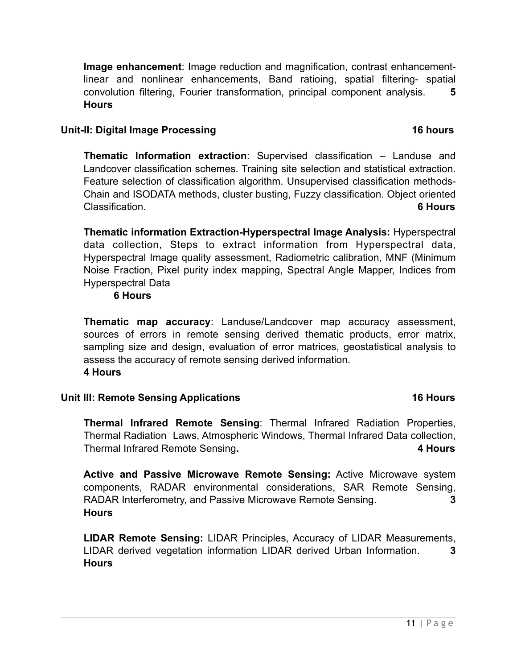**Image enhancement**: Image reduction and magnification, contrast enhancementlinear and nonlinear enhancements, Band ratioing, spatial filtering- spatial convolution filtering, Fourier transformation, principal component analysis. **5 Hours**

### Unit-II: Digital Image Processing **16 hours** 16 hours

**Thematic Information extraction**: Supervised classification – Landuse and Landcover classification schemes. Training site selection and statistical extraction. Feature selection of classification algorithm. Unsupervised classification methods-Chain and ISODATA methods, cluster busting, Fuzzy classification. Object oriented Classification. **6 Hours** 

**Thematic information Extraction-Hyperspectral Image Analysis:** Hyperspectral data collection, Steps to extract information from Hyperspectral data, Hyperspectral Image quality assessment, Radiometric calibration, MNF (Minimum Noise Fraction, Pixel purity index mapping, Spectral Angle Mapper, Indices from Hyperspectral Data

### **6 Hours**

**Thematic map accuracy**: Landuse/Landcover map accuracy assessment, sources of errors in remote sensing derived thematic products, error matrix, sampling size and design, evaluation of error matrices, geostatistical analysis to assess the accuracy of remote sensing derived information. **4 Hours**

# Unit III: Remote Sensing Applications **16 Hours 16 Hours**

**Thermal Infrared Remote Sensing**: Thermal Infrared Radiation Properties, Thermal Radiation Laws, Atmospheric Windows, Thermal Infrared Data collection, Thermal Infrared Remote Sensing**. 4 Hours** 

**Active and Passive Microwave Remote Sensing:** Active Microwave system components, RADAR environmental considerations, SAR Remote Sensing, RADAR Interferometry, and Passive Microwave Remote Sensing. **3 Hours**

**LIDAR Remote Sensing:** LIDAR Principles, Accuracy of LIDAR Measurements, LIDAR derived vegetation information LIDAR derived Urban Information. **3 Hours**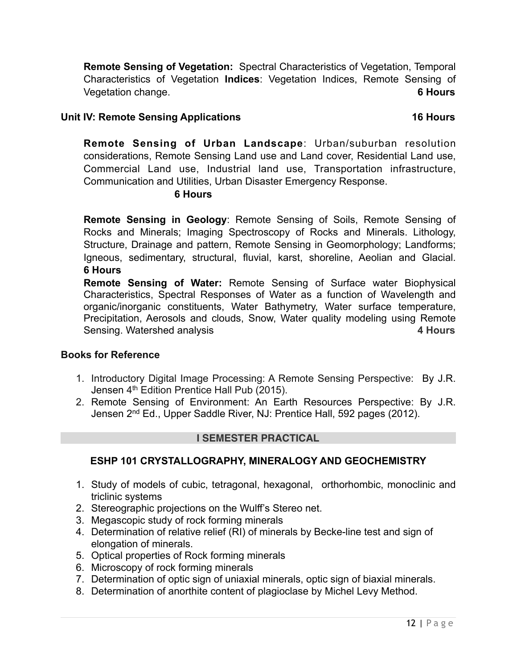**Remote Sensing of Vegetation:** Spectral Characteristics of Vegetation, Temporal Characteristics of Vegetation **Indices**: Vegetation Indices, Remote Sensing of Vegetation change. **6 Hours** 

# Unit IV: Remote Sensing Applications **16 Hours 16 Hours**

**Remote Sensing of Urban Landscape**: Urban/suburban resolution considerations, Remote Sensing Land use and Land cover, Residential Land use, Commercial Land use, Industrial land use, Transportation infrastructure, Communication and Utilities, Urban Disaster Emergency Response.

# **6 Hours**

**Remote Sensing in Geology**: Remote Sensing of Soils, Remote Sensing of Rocks and Minerals; Imaging Spectroscopy of Rocks and Minerals. Lithology, Structure, Drainage and pattern, Remote Sensing in Geomorphology; Landforms; Igneous, sedimentary, structural, fluvial, karst, shoreline, Aeolian and Glacial. **6 Hours** 

**Remote Sensing of Water:** Remote Sensing of Surface water Biophysical Characteristics, Spectral Responses of Water as a function of Wavelength and organic/inorganic constituents, Water Bathymetry, Water surface temperature, Precipitation, Aerosols and clouds, Snow, Water quality modeling using Remote Sensing. Watershed analysis **4 Hours** 

# **Books for Reference**

- 1. Introductory Digital Image Processing: A Remote Sensing Perspective: By J.R. Jensen 4<sup>th</sup> Edition Prentice Hall Pub (2015).
- 2. Remote Sensing of Environment: An Earth Resources Perspective: By J.R. Jensen 2nd Ed., Upper Saddle River, NJ: Prentice Hall, 592 pages (2012).

# **I SEMESTER PRACTICAL**

# **ESHP 101 CRYSTALLOGRAPHY, MINERALOGY AND GEOCHEMISTRY**

- 1. Study of models of cubic, tetragonal, hexagonal, orthorhombic, monoclinic and triclinic systems
- 2. Stereographic projections on the Wulff's Stereo net.
- 3. Megascopic study of rock forming minerals
- 4. Determination of relative relief (RI) of minerals by Becke-line test and sign of elongation of minerals.
- 5. Optical properties of Rock forming minerals
- 6. Microscopy of rock forming minerals
- 7. Determination of optic sign of uniaxial minerals, optic sign of biaxial minerals.
- 8. Determination of anorthite content of plagioclase by Michel Levy Method.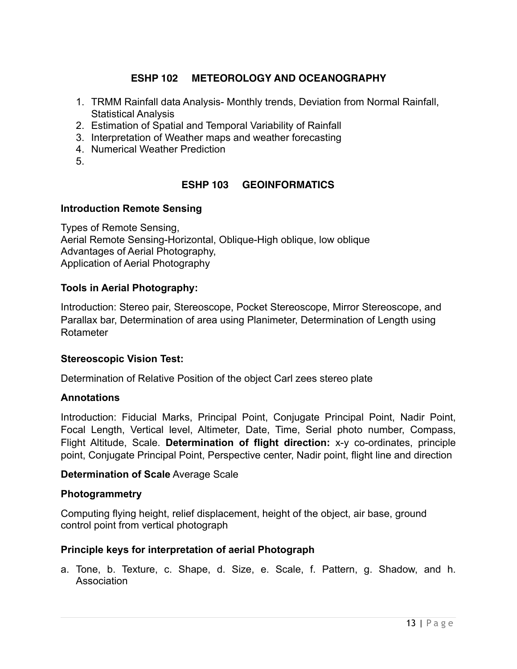# **ESHP 102 METEOROLOGY AND OCEANOGRAPHY**

- 1. TRMM Rainfall data Analysis- Monthly trends, Deviation from Normal Rainfall, Statistical Analysis
- 2. Estimation of Spatial and Temporal Variability of Rainfall
- 3. Interpretation of Weather maps and weather forecasting
- 4. Numerical Weather Prediction
- 5.

# **ESHP 103 GEOINFORMATICS**

### **Introduction Remote Sensing**

Types of Remote Sensing, Aerial Remote Sensing-Horizontal, Oblique-High oblique, low oblique Advantages of Aerial Photography, Application of Aerial Photography

### **Tools in Aerial Photography:**

Introduction: Stereo pair, Stereoscope, Pocket Stereoscope, Mirror Stereoscope, and Parallax bar, Determination of area using Planimeter, Determination of Length using Rotameter

### **Stereoscopic Vision Test:**

Determination of Relative Position of the object Carl zees stereo plate

### **Annotations**

Introduction: Fiducial Marks, Principal Point, Conjugate Principal Point, Nadir Point, Focal Length, Vertical level, Altimeter, Date, Time, Serial photo number, Compass, Flight Altitude, Scale. **Determination of flight direction:** x-y co-ordinates, principle point, Conjugate Principal Point, Perspective center, Nadir point, flight line and direction

### **Determination of Scale** Average Scale

### **Photogrammetry**

Computing flying height, relief displacement, height of the object, air base, ground control point from vertical photograph

### **Principle keys for interpretation of aerial Photograph**

a. Tone, b. Texture, c. Shape, d. Size, e. Scale, f. Pattern, g. Shadow, and h. Association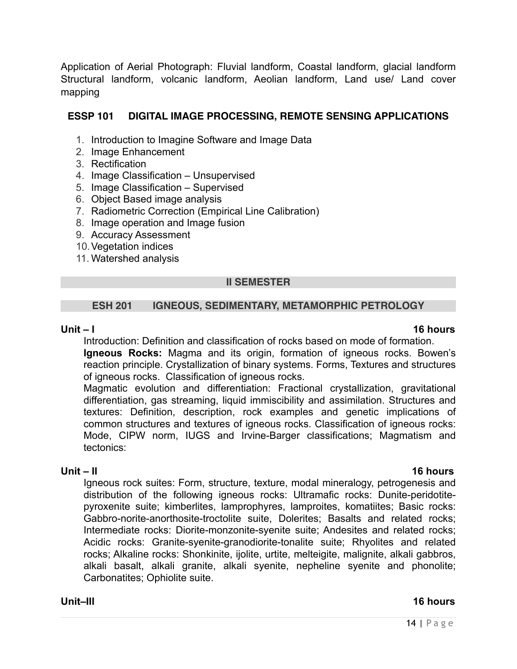Application of Aerial Photograph: Fluvial landform, Coastal landform, glacial landform Structural landform, volcanic landform, Aeolian landform, Land use/ Land cover mapping

# **ESSP 101 DIGITAL IMAGE PROCESSING, REMOTE SENSING APPLICATIONS**

- 1. Introduction to Imagine Software and Image Data
- 2. Image Enhancement
- 3. Rectification
- 4. Image Classification Unsupervised
- 5. Image Classification Supervised
- 6. Object Based image analysis
- 7. Radiometric Correction (Empirical Line Calibration)
- 8. Image operation and Image fusion
- 9. Accuracy Assessment
- 10.Vegetation indices
- 11. Watershed analysis

# **II SEMESTER**

# **ESH 201 IGNEOUS, SEDIMENTARY, METAMORPHIC PETROLOGY**

#### **Unit – I 16 hours**

Introduction: Definition and classification of rocks based on mode of formation. **Igneous Rocks:** Magma and its origin, formation of igneous rocks. Bowen's reaction principle. Crystallization of binary systems. Forms, Textures and structures of igneous rocks. Classification of igneous rocks.

Magmatic evolution and differentiation: Fractional crystallization, gravitational differentiation, gas streaming, liquid immiscibility and assimilation. Structures and textures: Definition, description, rock examples and genetic implications of common structures and textures of igneous rocks. Classification of igneous rocks: Mode, CIPW norm, IUGS and Irvine-Barger classifications; Magmatism and tectonics:

**Unit – II 16 hours**  Igneous rock suites: Form, structure, texture, modal mineralogy, petrogenesis and distribution of the following igneous rocks: Ultramafic rocks: Dunite-peridotitepyroxenite suite; kimberlites, lamprophyres, lamproites, komatiites; Basic rocks: Gabbro-norite-anorthosite-troctolite suite, Dolerites; Basalts and related rocks; Intermediate rocks: Diorite-monzonite-syenite suite; Andesites and related rocks; Acidic rocks: Granite-syenite-granodiorite-tonalite suite; Rhyolites and related rocks; Alkaline rocks: Shonkinite, ijolite, urtite, melteigite, malignite, alkali gabbros, alkali basalt, alkali granite, alkali syenite, nepheline syenite and phonolite; Carbonatites; Ophiolite suite.

### **Unit–III 16 hours**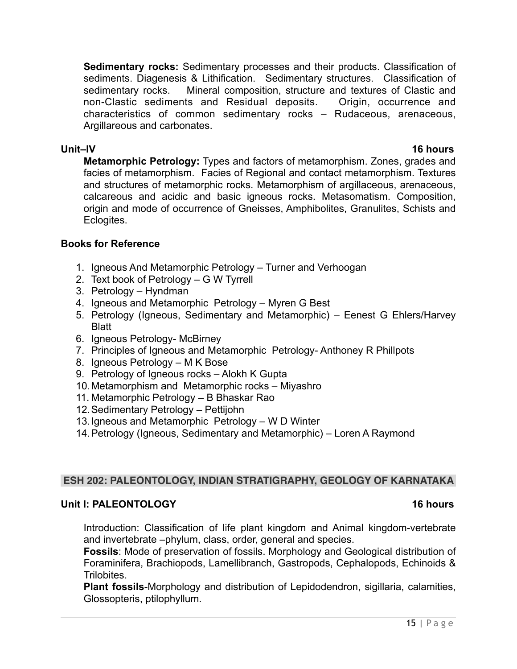**Sedimentary rocks:** Sedimentary processes and their products. Classification of sediments. Diagenesis & Lithification. Sedimentary structures. Classification of sedimentary rocks. Mineral composition, structure and textures of Clastic and non-Clastic sediments and Residual deposits. Origin, occurrence and characteristics of common sedimentary rocks – Rudaceous, arenaceous, Argillareous and carbonates.

### **Unit–IV 16 hours**

**Metamorphic Petrology:** Types and factors of metamorphism. Zones, grades and facies of metamorphism. Facies of Regional and contact metamorphism. Textures and structures of metamorphic rocks. Metamorphism of argillaceous, arenaceous, calcareous and acidic and basic igneous rocks. Metasomatism. Composition, origin and mode of occurrence of Gneisses, Amphibolites, Granulites, Schists and Eclogites.

# **Books for Reference**

- 1. Igneous And Metamorphic Petrology Turner and Verhoogan
- 2. Text book of Petrology G W Tyrrell
- 3. Petrology Hyndman
- 4. Igneous and Metamorphic Petrology Myren G Best
- 5. Petrology (Igneous, Sedimentary and Metamorphic) Eenest G Ehlers/Harvey **Blatt**
- 6. Igneous Petrology- McBirney
- 7. Principles of Igneous and Metamorphic Petrology- Anthoney R Phillpots
- 8. Igneous Petrology M K Bose
- 9. Petrology of Igneous rocks Alokh K Gupta
- 10.Metamorphism and Metamorphic rocks Miyashro
- 11. Metamorphic Petrology B Bhaskar Rao
- 12.Sedimentary Petrology Pettijohn
- 13.Igneous and Metamorphic Petrology W D Winter
- 14.Petrology (Igneous, Sedimentary and Metamorphic) Loren A Raymond

### **ESH 202: PALEONTOLOGY, INDIAN STRATIGRAPHY, GEOLOGY OF KARNATAKA**

### **Unit I: PALEONTOLOGY 16 hours**

Introduction: Classification of life plant kingdom and Animal kingdom-vertebrate and invertebrate –phylum, class, order, general and species.

**Fossils**: Mode of preservation of fossils. Morphology and Geological distribution of Foraminifera, Brachiopods, Lamellibranch, Gastropods, Cephalopods, Echinoids & Trilobites.

**Plant fossils**-Morphology and distribution of Lepidodendron, sigillaria, calamities, Glossopteris, ptilophyllum.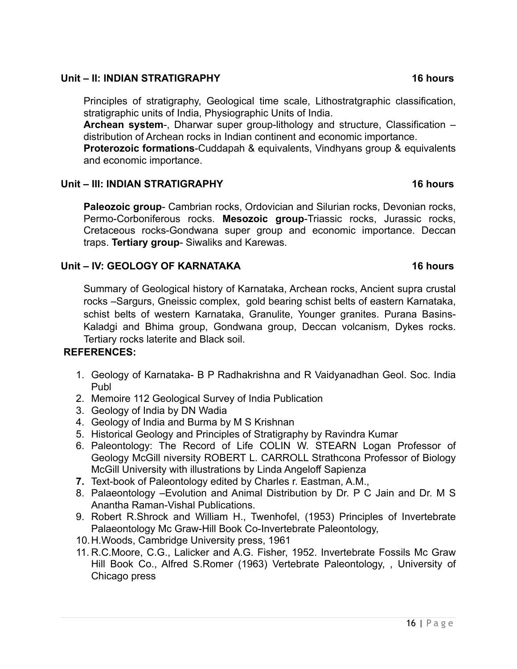# **Unit – II: INDIAN STRATIGRAPHY 16 hours**

Principles of stratigraphy, Geological time scale, Lithostratgraphic classification, stratigraphic units of India, Physiographic Units of India.

**Archean system**-, Dharwar super group-lithology and structure, Classification – distribution of Archean rocks in Indian continent and economic importance.

**Proterozoic formations**-Cuddapah & equivalents, Vindhyans group & equivalents and economic importance.

# **Unit – III: INDIAN STRATIGRAPHY 16 hours**

**Paleozoic group**- Cambrian rocks, Ordovician and Silurian rocks, Devonian rocks, Permo-Corboniferous rocks. **Mesozoic group**-Triassic rocks, Jurassic rocks, Cretaceous rocks-Gondwana super group and economic importance. Deccan traps. **Tertiary group**- Siwaliks and Karewas.

# Unit – IV: GEOLOGY OF KARNATAKA 16 hours

# Summary of Geological history of Karnataka, Archean rocks, Ancient supra crustal rocks –Sargurs, Gneissic complex, gold bearing schist belts of eastern Karnataka, schist belts of western Karnataka, Granulite, Younger granites. Purana Basins-Kaladgi and Bhima group, Gondwana group, Deccan volcanism, Dykes rocks. Tertiary rocks laterite and Black soil.

# **REFERENCES:**

- 1. Geology of Karnataka- B P Radhakrishna and R Vaidyanadhan Geol. Soc. India Publ
- 2. Memoire 112 Geological Survey of India Publication
- 3. Geology of India by DN Wadia
- 4. Geology of India and Burma by M S Krishnan
- 5. Historical Geology and Principles of Stratigraphy by Ravindra Kumar
- 6. Paleontology: The Record of Life COLIN W. STEARN Logan Professor of Geology McGill niversity ROBERT L. CARROLL Strathcona Professor of Biology McGill University with illustrations by Linda Angeloff Sapienza
- **7.** Text-book of Paleontology edited by Charles r. Eastman, A.M.,
- 8. Palaeontology –Evolution and Animal Distribution by Dr. P C Jain and Dr. M S Anantha Raman-Vishal Publications.
- 9. Robert R.Shrock and William H., Twenhofel, (1953) Principles of Invertebrate Palaeontology Mc Graw-Hill Book Co-Invertebrate Paleontology,
- 10.H.Woods, Cambridge University press, 1961
- 11. R.C.Moore, C.G., Lalicker and A.G. Fisher, 1952. Invertebrate Fossils Mc Graw Hill Book Co., Alfred S.Romer (1963) Vertebrate Paleontology, , University of Chicago press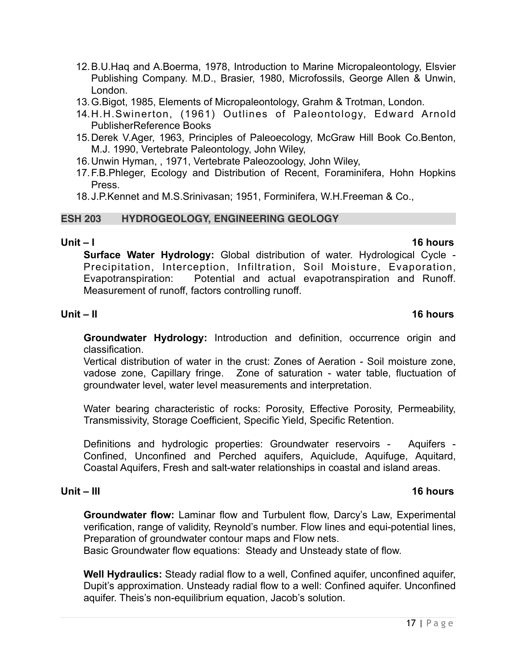- 12.B.U.Haq and A.Boerma, 1978, Introduction to Marine Micropaleontology, Elsvier Publishing Company. M.D., Brasier, 1980, Microfossils, George Allen & Unwin, London.
- 13.G.Bigot, 1985, Elements of Micropaleontology, Grahm & Trotman, London.
- 14.H.H.Swinerton, (1961) Outlines of Paleontology, Edward Arnold PublisherReference Books
- 15.Derek V.Ager, 1963, Principles of Paleoecology, McGraw Hill Book Co.Benton, M.J. 1990, Vertebrate Paleontology, John Wiley,
- 16.Unwin Hyman, , 1971, Vertebrate Paleozoology, John Wiley,
- 17.F.B.Phleger, Ecology and Distribution of Recent, Foraminifera, Hohn Hopkins Press.
- 18.J.P.Kennet and M.S.Srinivasan; 1951, Forminifera, W.H.Freeman & Co.,

#### **ESH 203 HYDROGEOLOGY, ENGINEERING GEOLOGY**

#### **Unit – I 16 hours**

**Surface Water Hydrology:** Global distribution of water. Hydrological Cycle - Precipitation, Interception, Infiltration, Soil Moisture, Evaporation, Evapotranspiration: Potential and actual evapotranspiration and Runoff. Measurement of runoff, factors controlling runoff.

# **Unit – II 16 hours**

**Groundwater Hydrology:** Introduction and definition, occurrence origin and classification.

Vertical distribution of water in the crust: Zones of Aeration - Soil moisture zone, vadose zone, Capillary fringe. Zone of saturation - water table, fluctuation of groundwater level, water level measurements and interpretation.

Water bearing characteristic of rocks: Porosity, Effective Porosity, Permeability, Transmissivity, Storage Coefficient, Specific Yield, Specific Retention.

Definitions and hydrologic properties: Groundwater reservoirs - Aquifers - Confined, Unconfined and Perched aquifers, Aquiclude, Aquifuge, Aquitard, Coastal Aquifers, Fresh and salt-water relationships in coastal and island areas.

#### **Unit – III 16 hours**

**Groundwater flow:** Laminar flow and Turbulent flow, Darcy's Law, Experimental verification, range of validity, Reynold's number. Flow lines and equi-potential lines, Preparation of groundwater contour maps and Flow nets.

Basic Groundwater flow equations: Steady and Unsteady state of flow.

**Well Hydraulics:** Steady radial flow to a well, Confined aquifer, unconfined aquifer, Dupit's approximation. Unsteady radial flow to a well: Confined aquifer. Unconfined aquifer. Theis's non-equilibrium equation, Jacob's solution.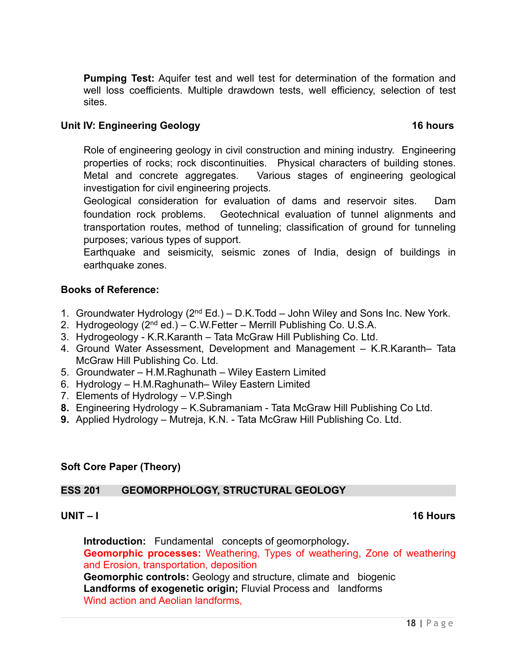**Pumping Test:** Aquifer test and well test for determination of the formation and well loss coefficients. Multiple drawdown tests, well efficiency, selection of test sites.

### **Unit IV: Engineering Geology 16 hours 16 hours**

Role of engineering geology in civil construction and mining industry. Engineering properties of rocks; rock discontinuities. Physical characters of building stones. Metal and concrete aggregates. Various stages of engineering geological investigation for civil engineering projects.

Geological consideration for evaluation of dams and reservoir sites. Dam foundation rock problems. Geotechnical evaluation of tunnel alignments and transportation routes, method of tunneling; classification of ground for tunneling purposes; various types of support.

Earthquake and seismicity, seismic zones of India, design of buildings in earthquake zones.

# **Books of Reference:**

- 1. Groundwater Hydrology ( $2<sup>nd</sup> Ed$ .) D.K.Todd John Wiley and Sons Inc. New York.
- 2. Hydrogeology (2nd ed.) C.W.Fetter Merrill Publishing Co. U.S.A.
- 3. Hydrogeology K.R.Karanth Tata McGraw Hill Publishing Co. Ltd.
- 4. Ground Water Assessment, Development and Management K.R.Karanth– Tata McGraw Hill Publishing Co. Ltd.
- 5. Groundwater H.M.Raghunath Wiley Eastern Limited
- 6. Hydrology H.M.Raghunath– Wiley Eastern Limited
- 7. Elements of Hydrology V.P.Singh
- **8.** Engineering Hydrology K.Subramaniam Tata McGraw Hill Publishing Co Ltd.
- **9.** Applied Hydrology Mutreja, K.N. Tata McGraw Hill Publishing Co. Ltd.

### **Soft Core Paper (Theory)**

### **ESS 201 GEOMORPHOLOGY, STRUCTURAL GEOLOGY**

### **UNIT – I 16 Hours**

**Introduction:** Fundamental concepts of geomorphology**. Geomorphic processes:** Weathering, Types of weathering, Zone of weathering and Erosion, transportation, deposition **Geomorphic controls:** Geology and structure, climate and biogenic **Landforms of exogenetic origin;** Fluvial Process and landforms Wind action and Aeolian landforms,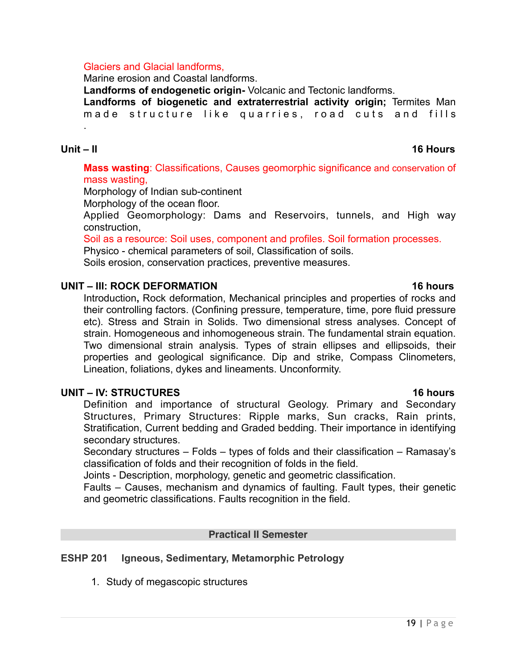#### Glaciers and Glacial landforms,

Marine erosion and Coastal landforms.

**Landforms of endogenetic origin-** Volcanic and Tectonic landforms.

**Landforms of biogenetic and extraterrestrial activity origin;** Termites Man made structure like quarries, road cuts and fills

.

# **Unit – II 16 Hours**

**Mass wasting**: Classifications, Causes geomorphic significance and conservation of mass wasting,

Morphology of Indian sub-continent

Morphology of the ocean floor.

Applied Geomorphology: Dams and Reservoirs, tunnels, and High way construction,

Soil as a resource: Soil uses, component and profiles. Soil formation processes.

Physico - chemical parameters of soil, Classification of soils.

Soils erosion, conservation practices, preventive measures.

# **UNIT – III: ROCK DEFORMATION 16 hours**

Introduction**,** Rock deformation, Mechanical principles and properties of rocks and their controlling factors. (Confining pressure, temperature, time, pore fluid pressure etc). Stress and Strain in Solids. Two dimensional stress analyses. Concept of strain. Homogeneous and inhomogeneous strain. The fundamental strain equation. Two dimensional strain analysis. Types of strain ellipses and ellipsoids, their properties and geological significance. Dip and strike, Compass Clinometers, Lineation, foliations, dykes and lineaments. Unconformity.

### **UNIT – IV: STRUCTURES** 16 hours **16 hours**

Definition and importance of structural Geology. Primary and Secondary Structures, Primary Structures: Ripple marks, Sun cracks, Rain prints, Stratification, Current bedding and Graded bedding. Their importance in identifying secondary structures.

Secondary structures – Folds – types of folds and their classification – Ramasay's classification of folds and their recognition of folds in the field.

Joints - Description, morphology, genetic and geometric classification.

Faults – Causes, mechanism and dynamics of faulting. Fault types, their genetic and geometric classifications. Faults recognition in the field.

### **Practical II Semester**

# **ESHP 201 Igneous, Sedimentary, Metamorphic Petrology**

1. Study of megascopic structures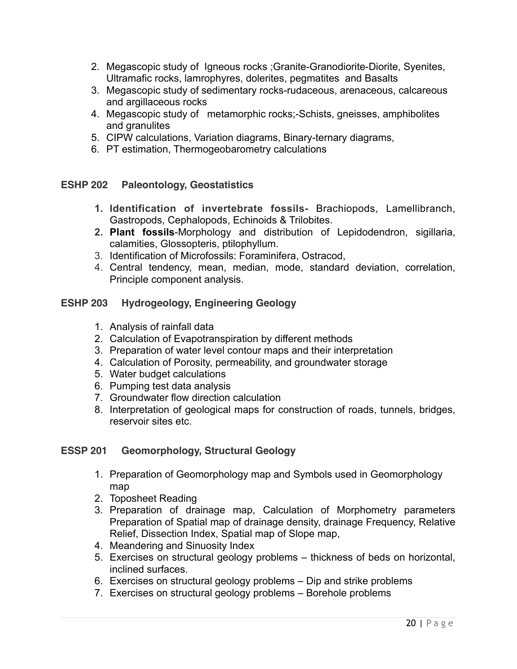- 2. Megascopic study of Igneous rocks ;Granite-Granodiorite-Diorite, Syenites, Ultramafic rocks, lamrophyres, dolerites, pegmatites and Basalts
- 3. Megascopic study of sedimentary rocks-rudaceous, arenaceous, calcareous and argillaceous rocks
- 4. Megascopic study of metamorphic rocks;-Schists, gneisses, amphibolites and granulites
- 5. CIPW calculations, Variation diagrams, Binary-ternary diagrams,
- 6. PT estimation, Thermogeobarometry calculations

# **ESHP 202 Paleontology, Geostatistics**

- **1. Identification of invertebrate fossils-** Brachiopods, Lamellibranch, Gastropods, Cephalopods, Echinoids & Trilobites.
- **2. Plant fossils**-Morphology and distribution of Lepidodendron, sigillaria, calamities, Glossopteris, ptilophyllum.
- 3. Identification of Microfossils: Foraminifera, Ostracod,
- 4. Central tendency, mean, median, mode, standard deviation, correlation, Principle component analysis.

# **ESHP 203 Hydrogeology, Engineering Geology**

- 1. Analysis of rainfall data
- 2. Calculation of Evapotranspiration by different methods
- 3. Preparation of water level contour maps and their interpretation
- 4. Calculation of Porosity, permeability, and groundwater storage
- 5. Water budget calculations
- 6. Pumping test data analysis
- 7. Groundwater flow direction calculation
- 8. Interpretation of geological maps for construction of roads, tunnels, bridges, reservoir sites etc.

### **ESSP 201 Geomorphology, Structural Geology**

- 1. Preparation of Geomorphology map and Symbols used in Geomorphology map
- 2. Toposheet Reading
- 3. Preparation of drainage map, Calculation of Morphometry parameters Preparation of Spatial map of drainage density, drainage Frequency, Relative Relief, Dissection Index, Spatial map of Slope map,
- 4. Meandering and Sinuosity Index
- 5. Exercises on structural geology problems thickness of beds on horizontal, inclined surfaces.
- 6. Exercises on structural geology problems Dip and strike problems
- 7. Exercises on structural geology problems Borehole problems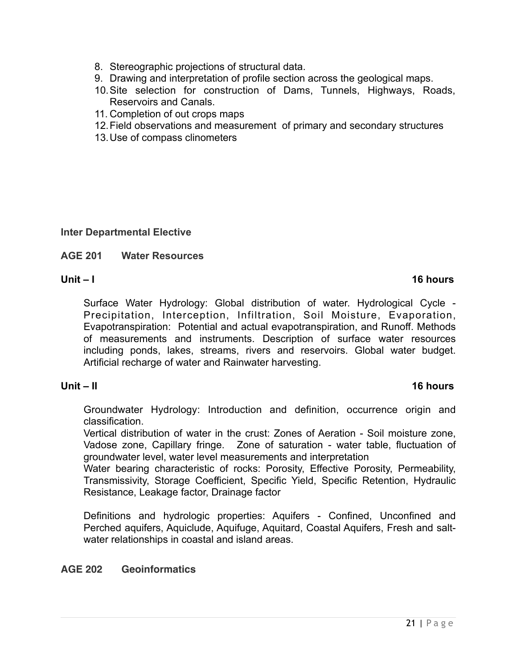- 8. Stereographic projections of structural data.
- 9. Drawing and interpretation of profile section across the geological maps.
- 10.Site selection for construction of Dams, Tunnels, Highways, Roads, Reservoirs and Canals.
- 11. Completion of out crops maps
- 12.Field observations and measurement of primary and secondary structures
- 13.Use of compass clinometers

### **Inter Departmental Elective**

# **AGE 201 Water Resources**

#### **Unit – I 16 hours**

Surface Water Hydrology: Global distribution of water. Hydrological Cycle - Precipitation, Interception, Infiltration, Soil Moisture, Evaporation, Evapotranspiration: Potential and actual evapotranspiration, and Runoff. Methods of measurements and instruments. Description of surface water resources including ponds, lakes, streams, rivers and reservoirs. Global water budget. Artificial recharge of water and Rainwater harvesting.

### **Unit – II 16 hours**

Groundwater Hydrology: Introduction and definition, occurrence origin and classification.

Vertical distribution of water in the crust: Zones of Aeration - Soil moisture zone, Vadose zone, Capillary fringe. Zone of saturation - water table, fluctuation of groundwater level, water level measurements and interpretation

Water bearing characteristic of rocks: Porosity, Effective Porosity, Permeability, Transmissivity, Storage Coefficient, Specific Yield, Specific Retention, Hydraulic Resistance, Leakage factor, Drainage factor

Definitions and hydrologic properties: Aquifers - Confined, Unconfined and Perched aquifers, Aquiclude, Aquifuge, Aquitard, Coastal Aquifers, Fresh and saltwater relationships in coastal and island areas.

# **AGE 202 Geoinformatics**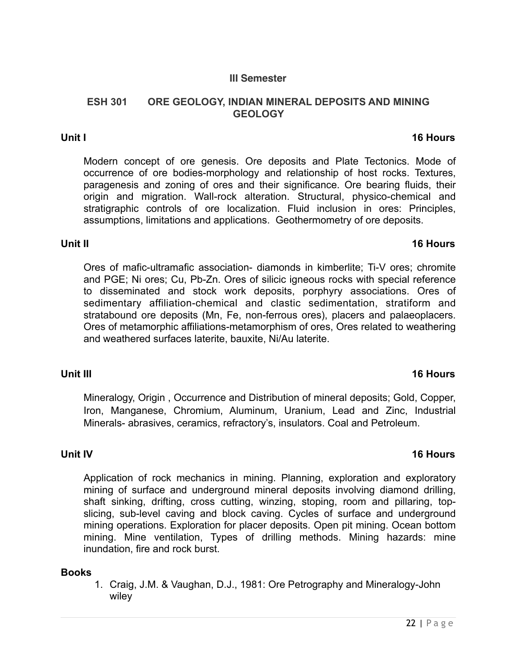# **III Semester**

#### **ESH 301 ORE GEOLOGY, INDIAN MINERAL DEPOSITS AND MINING GEOLOGY**

#### **Unit I** 16 Hours **16 Hours**

Modern concept of ore genesis. Ore deposits and Plate Tectonics. Mode of occurrence of ore bodies-morphology and relationship of host rocks. Textures, paragenesis and zoning of ores and their significance. Ore bearing fluids, their origin and migration. Wall-rock alteration. Structural, physico-chemical and stratigraphic controls of ore localization. Fluid inclusion in ores: Principles, assumptions, limitations and applications. Geothermometry of ore deposits.

#### **Unit II** 16 Hours **16 Hours**

Ores of mafic-ultramafic association- diamonds in kimberlite; Ti-V ores; chromite and PGE; Ni ores; Cu, Pb-Zn. Ores of silicic igneous rocks with special reference to disseminated and stock work deposits, porphyry associations. Ores of sedimentary affiliation-chemical and clastic sedimentation, stratiform and stratabound ore deposits (Mn, Fe, non-ferrous ores), placers and palaeoplacers. Ores of metamorphic affiliations-metamorphism of ores, Ores related to weathering and weathered surfaces laterite, bauxite, Ni/Au laterite.

### **Unit III** 16 Hours **16 Hours**

Mineralogy, Origin , Occurrence and Distribution of mineral deposits; Gold, Copper, Iron, Manganese, Chromium, Aluminum, Uranium, Lead and Zinc, Industrial Minerals- abrasives, ceramics, refractory's, insulators. Coal and Petroleum.

**Unit IV** 16 Hours

Application of rock mechanics in mining. Planning, exploration and exploratory mining of surface and underground mineral deposits involving diamond drilling, shaft sinking, drifting, cross cutting, winzing, stoping, room and pillaring, topslicing, sub-level caving and block caving. Cycles of surface and underground mining operations. Exploration for placer deposits. Open pit mining. Ocean bottom mining. Mine ventilation, Types of drilling methods. Mining hazards: mine inundation, fire and rock burst.

### **Books**

1. Craig, J.M. & Vaughan, D.J., 1981: Ore Petrography and Mineralogy-John wiley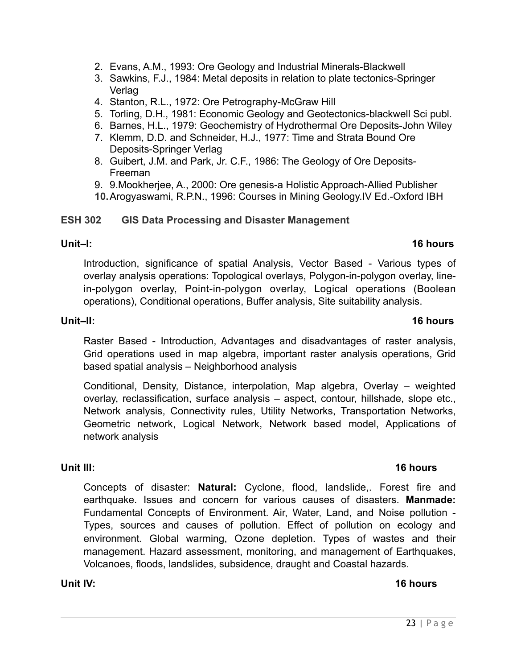- 2. Evans, A.M., 1993: Ore Geology and Industrial Minerals-Blackwell
- 3. Sawkins, F.J., 1984: Metal deposits in relation to plate tectonics-Springer Verlag
- 4. Stanton, R.L., 1972: Ore Petrography-McGraw Hill
- 5. Torling, D.H., 1981: Economic Geology and Geotectonics-blackwell Sci publ.
- 6. Barnes, H.L., 1979: Geochemistry of Hydrothermal Ore Deposits-John Wiley
- 7. Klemm, D.D. and Schneider, H.J., 1977: Time and Strata Bound Ore Deposits-Springer Verlag
- 8. Guibert, J.M. and Park, Jr. C.F., 1986: The Geology of Ore Deposits-Freeman
- 9. 9.Mookherjee, A., 2000: Ore genesis-a Holistic Approach-Allied Publisher
- **10.**Arogyaswami, R.P.N., 1996: Courses in Mining Geology.IV Ed.-Oxford IBH

### **ESH 302 GIS Data Processing and Disaster Management**

### **Unit–I: 16 hours**

Introduction, significance of spatial Analysis, Vector Based - Various types of overlay analysis operations: Topological overlays, Polygon-in-polygon overlay, linein-polygon overlay, Point-in-polygon overlay, Logical operations (Boolean operations), Conditional operations, Buffer analysis, Site suitability analysis.

# **Unit–II: 16 hours**

Raster Based - Introduction, Advantages and disadvantages of raster analysis, Grid operations used in map algebra, important raster analysis operations, Grid based spatial analysis – Neighborhood analysis

Conditional, Density, Distance, interpolation, Map algebra, Overlay – weighted overlay, reclassification, surface analysis – aspect, contour, hillshade, slope etc., Network analysis, Connectivity rules, Utility Networks, Transportation Networks, Geometric network, Logical Network, Network based model, Applications of network analysis

### **Unit III:** 16 hours **16 hours**

Concepts of disaster: **Natural:** Cyclone, flood, landslide,. Forest fire and earthquake. Issues and concern for various causes of disasters. **Manmade:** Fundamental Concepts of Environment. Air, Water, Land, and Noise pollution - Types, sources and causes of pollution. Effect of pollution on ecology and environment. Global warming, Ozone depletion. Types of wastes and their management. Hazard assessment, monitoring, and management of Earthquakes, Volcanoes, floods, landslides, subsidence, draught and Coastal hazards.

# **Unit IV: 16 hours**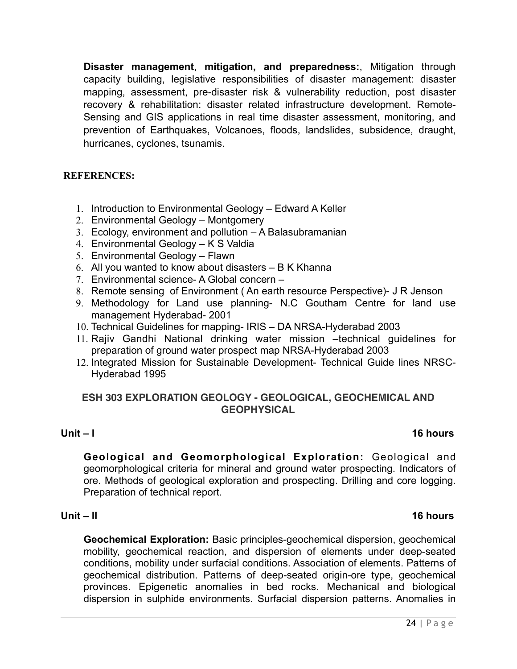**Disaster management**, **mitigation, and preparedness:**, Mitigation through capacity building, legislative responsibilities of disaster management: disaster mapping, assessment, pre-disaster risk & vulnerability reduction, post disaster recovery & rehabilitation: disaster related infrastructure development. Remote-Sensing and GIS applications in real time disaster assessment, monitoring, and prevention of Earthquakes, Volcanoes, floods, landslides, subsidence, draught, hurricanes, cyclones, tsunamis.

### **REFERENCES:**

- 1. Introduction to Environmental Geology Edward A Keller
- 2. Environmental Geology Montgomery
- 3. Ecology, environment and pollution A Balasubramanian
- 4. Environmental Geology K S Valdia
- 5. Environmental Geology Flawn
- 6. All you wanted to know about disasters B K Khanna
- 7. Environmental science- A Global concern –
- 8. Remote sensing of Environment ( An earth resource Perspective)- J R Jenson
- 9. Methodology for Land use planning- N.C Goutham Centre for land use management Hyderabad- 2001
- 10. Technical Guidelines for mapping- IRIS DA NRSA-Hyderabad 2003
- 11. Rajiv Gandhi National drinking water mission –technical guidelines for preparation of ground water prospect map NRSA-Hyderabad 2003
- 12. Integrated Mission for Sustainable Development- Technical Guide lines NRSC-Hyderabad 1995

# **ESH 303 EXPLORATION GEOLOGY - GEOLOGICAL, GEOCHEMICAL AND GEOPHYSICAL**

### **Unit – I 16 hours**

**Geological and Geomorphological Exploration:** Geological and geomorphological criteria for mineral and ground water prospecting. Indicators of ore. Methods of geological exploration and prospecting. Drilling and core logging. Preparation of technical report.

#### **Unit – II 16 hours**

**Geochemical Exploration:** Basic principles-geochemical dispersion, geochemical mobility, geochemical reaction, and dispersion of elements under deep-seated conditions, mobility under surfacial conditions. Association of elements. Patterns of geochemical distribution. Patterns of deep-seated origin-ore type, geochemical provinces. Epigenetic anomalies in bed rocks. Mechanical and biological dispersion in sulphide environments. Surfacial dispersion patterns. Anomalies in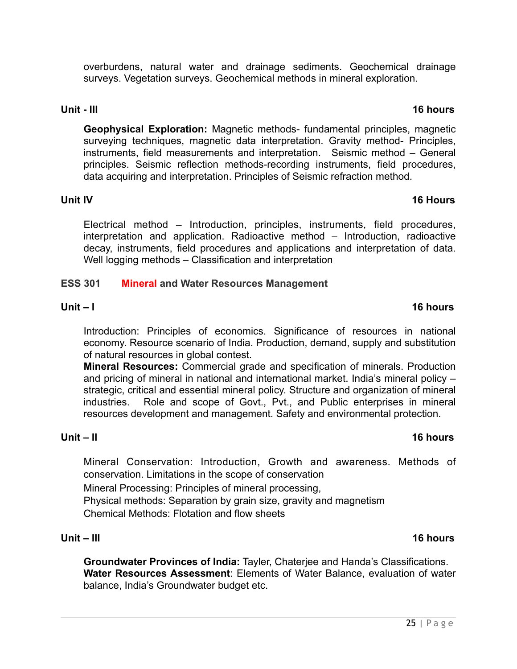overburdens, natural water and drainage sediments. Geochemical drainage surveys. Vegetation surveys. Geochemical methods in mineral exploration.

#### **Unit - III** 16 hours **16 hours**

**Geophysical Exploration:** Magnetic methods- fundamental principles, magnetic surveying techniques, magnetic data interpretation. Gravity method- Principles, instruments, field measurements and interpretation. Seismic method – General principles. Seismic reflection methods-recording instruments, field procedures, data acquiring and interpretation. Principles of Seismic refraction method.

Electrical method – Introduction, principles, instruments, field procedures, interpretation and application. Radioactive method – Introduction, radioactive decay, instruments, field procedures and applications and interpretation of data. Well logging methods – Classification and interpretation

#### **ESS 301 Mineral and Water Resources Management**

#### **Unit – I 16 hours**

Introduction: Principles of economics. Significance of resources in national economy. Resource scenario of India. Production, demand, supply and substitution of natural resources in global contest.

**Mineral Resources:** Commercial grade and specification of minerals. Production and pricing of mineral in national and international market. India's mineral policy – strategic, critical and essential mineral policy. Structure and organization of mineral industries. Role and scope of Govt., Pvt., and Public enterprises in mineral resources development and management. Safety and environmental protection.

Mineral Conservation: Introduction, Growth and awareness. Methods of conservation. Limitations in the scope of conservation

Mineral Processing: Principles of mineral processing,

Physical methods: Separation by grain size, gravity and magnetism Chemical Methods: Flotation and flow sheets

#### **Unit – III 16 hours**

**Groundwater Provinces of India:** Tayler, Chaterjee and Handa's Classifications. **Water Resources Assessment**: Elements of Water Balance, evaluation of water balance, India's Groundwater budget etc.

#### **Unit – II 16 hours**

# **Unit IV** 16 Hours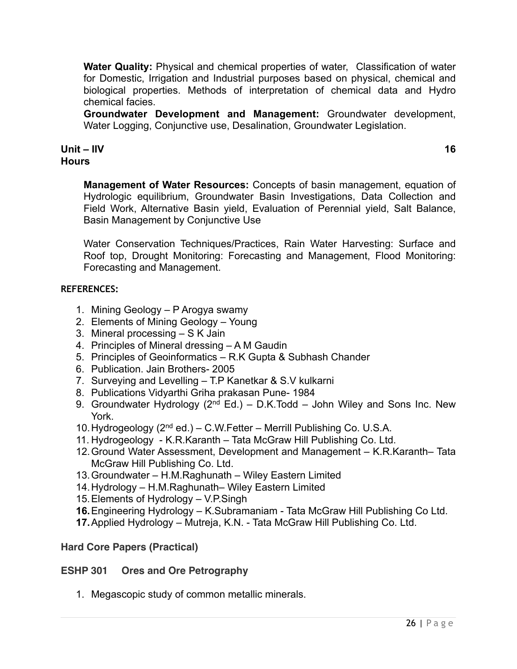**Water Quality:** Physical and chemical properties of water, Classification of water for Domestic, Irrigation and Industrial purposes based on physical, chemical and biological properties. Methods of interpretation of chemical data and Hydro chemical facies.

**Groundwater Development and Management:** Groundwater development, Water Logging, Conjunctive use, Desalination, Groundwater Legislation.

# **Unit – IIV 16 Hours**

**Management of Water Resources:** Concepts of basin management, equation of Hydrologic equilibrium, Groundwater Basin Investigations, Data Collection and Field Work, Alternative Basin yield, Evaluation of Perennial yield, Salt Balance, Basin Management by Conjunctive Use

Water Conservation Techniques/Practices, Rain Water Harvesting: Surface and Roof top, Drought Monitoring: Forecasting and Management, Flood Monitoring: Forecasting and Management.

# **REFERENCES:**

- 1. Mining Geology P Arogya swamy
- 2. Elements of Mining Geology Young
- 3. Mineral processing S K Jain
- 4. Principles of Mineral dressing A M Gaudin
- 5. Principles of Geoinformatics R.K Gupta & Subhash Chander
- 6. Publication. Jain Brothers- 2005
- 7. Surveying and Levelling T.P Kanetkar & S.V kulkarni
- 8. Publications Vidyarthi Griha prakasan Pune- 1984
- 9. Groundwater Hydrology ( $2^{nd}$  Ed.) D.K.Todd John Wiley and Sons Inc. New York.
- 10.Hydrogeology (2nd ed.) C.W.Fetter Merrill Publishing Co. U.S.A.
- 11. Hydrogeology K.R.Karanth Tata McGraw Hill Publishing Co. Ltd.
- 12.Ground Water Assessment, Development and Management K.R.Karanth– Tata McGraw Hill Publishing Co. Ltd.
- 13.Groundwater H.M.Raghunath Wiley Eastern Limited
- 14.Hydrology H.M.Raghunath– Wiley Eastern Limited
- 15.Elements of Hydrology V.P.Singh
- **16.**Engineering Hydrology K.Subramaniam Tata McGraw Hill Publishing Co Ltd.
- **17.**Applied Hydrology Mutreja, K.N. Tata McGraw Hill Publishing Co. Ltd.

# **Hard Core Papers (Practical)**

# **ESHP 301 Ores and Ore Petrography**

1. Megascopic study of common metallic minerals.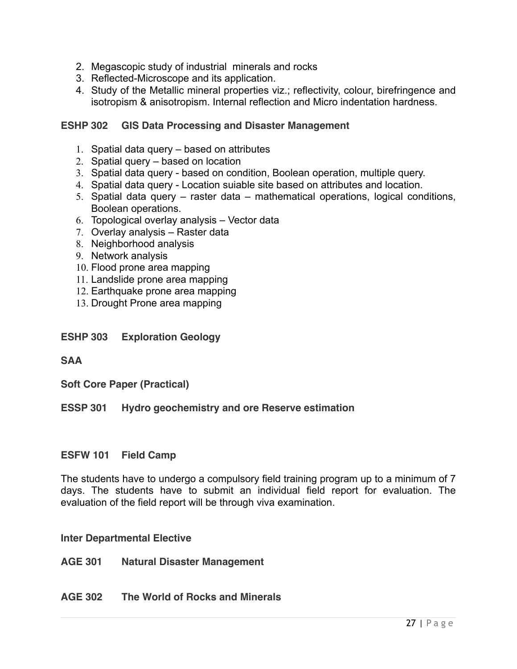- 2. Megascopic study of industrial minerals and rocks
- 3. Reflected-Microscope and its application.
- 4. Study of the Metallic mineral properties viz.; reflectivity, colour, birefringence and isotropism & anisotropism. Internal reflection and Micro indentation hardness.

### **ESHP 302 GIS Data Processing and Disaster Management**

- 1. Spatial data query based on attributes
- 2. Spatial query based on location
- 3. Spatial data query based on condition, Boolean operation, multiple query.
- 4. Spatial data query Location suiable site based on attributes and location.
- 5. Spatial data query raster data mathematical operations, logical conditions, Boolean operations.
- 6. Topological overlay analysis Vector data
- 7. Overlay analysis Raster data
- 8. Neighborhood analysis
- 9. Network analysis
- 10. Flood prone area mapping
- 11. Landslide prone area mapping
- 12. Earthquake prone area mapping
- 13. Drought Prone area mapping
- **ESHP 303 Exploration Geology**

### **SAA**

**Soft Core Paper (Practical)**

### **ESSP 301 Hydro geochemistry and ore Reserve estimation**

### **ESFW 101 Field Camp**

The students have to undergo a compulsory field training program up to a minimum of 7 days. The students have to submit an individual field report for evaluation. The evaluation of the field report will be through viva examination.

### **Inter Departmental Elective**

**AGE 301 Natural Disaster Management**

### **AGE 302 The World of Rocks and Minerals**